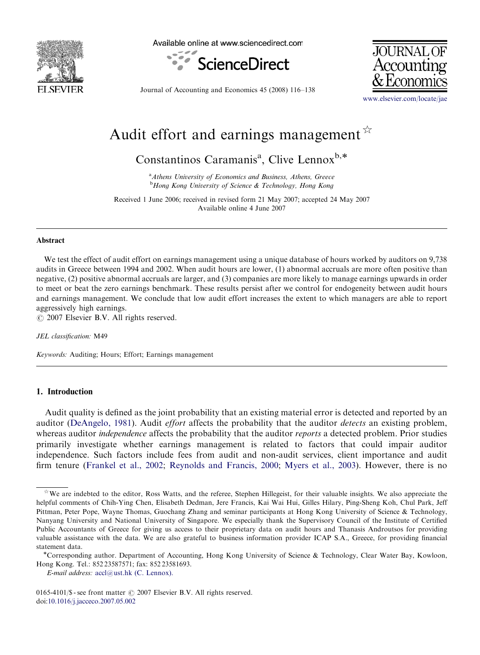

Available online at www.sciencedirect.com



**JOURNAL** Accounti mom

Journal of Accounting and Economics 45 (2008) 116–138

<www.elsevier.com/locate/jae>

# Audit effort and earnings management  $\overrightarrow{a}$

Constantinos Caramanis<sup>a</sup>, Clive Lennox<sup>b,\*</sup>

<sup>a</sup> Athens University of Economics and Business, Athens, Greece **b**Hong Kong University of Science & Technology, Hong Kong

Received 1 June 2006; received in revised form 21 May 2007; accepted 24 May 2007 Available online 4 June 2007

#### Abstract

We test the effect of audit effort on earnings management using a unique database of hours worked by auditors on 9,738 audits in Greece between 1994 and 2002. When audit hours are lower, (1) abnormal accruals are more often positive than negative, (2) positive abnormal accruals are larger, and (3) companies are more likely to manage earnings upwards in order to meet or beat the zero earnings benchmark. These results persist after we control for endogeneity between audit hours and earnings management. We conclude that low audit effort increases the extent to which managers are able to report aggressively high earnings.

 $O$  2007 Elsevier B.V. All rights reserved.

JEL classification: M49

Keywords: Auditing; Hours; Effort; Earnings management

# 1. Introduction

Audit quality is defined as the joint probability that an existing material error is detected and reported by an auditor ([DeAngelo, 1981](#page-21-0)). Audit *effort* affects the probability that the auditor *detects* an existing problem, whereas auditor *independence* affects the probability that the auditor *reports* a detected problem. Prior studies primarily investigate whether earnings management is related to factors that could impair auditor independence. Such factors include fees from audit and non-audit services, client importance and audit firm tenure ([Frankel et al., 2002](#page-21-0); [Reynolds and Francis, 2000;](#page-22-0) [Myers et al., 2003\)](#page-22-0). However, there is no

E-mail address: [accl@ust.hk \(C. Lennox\).](mailto:accl@ust.hk)

We are indebted to the editor, Ross Watts, and the referee, Stephen Hillegeist, for their valuable insights. We also appreciate the helpful comments of Chih-Ying Chen, Elisabeth Dedman, Jere Francis, Kai Wai Hui, Gilles Hilary, Ping-Sheng Koh, Chul Park, Jeff Pittman, Peter Pope, Wayne Thomas, Guochang Zhang and seminar participants at Hong Kong University of Science & Technology, Nanyang University and National University of Singapore. We especially thank the Supervisory Council of the Institute of Certified Public Accountants of Greece for giving us access to their proprietary data on audit hours and Thanasis Androutsos for providing valuable assistance with the data. We are also grateful to business information provider ICAP S.A., Greece, for providing financial statement data.

Corresponding author. Department of Accounting, Hong Kong University of Science & Technology, Clear Water Bay, Kowloon, Hong Kong. Tel.: 852 23587571; fax: 852 23581693.

<sup>0165-4101/\$ -</sup> see front matter  $\odot$  2007 Elsevier B.V. All rights reserved. doi[:10.1016/j.jacceco.2007.05.002](dx.doi.org/10.1016/j.jacceco.2007.05.002)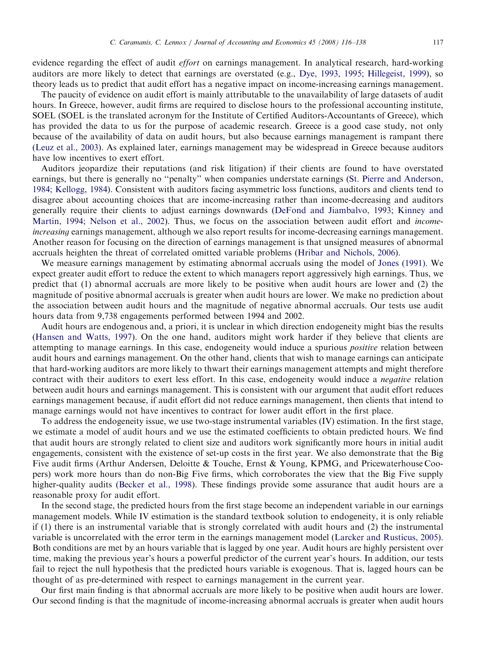evidence regarding the effect of audit effort on earnings management. In analytical research, hard-working auditors are more likely to detect that earnings are overstated (e.g., [Dye, 1993, 1995](#page-21-0); [Hillegeist, 1999\)](#page-22-0), so theory leads us to predict that audit effort has a negative impact on income-increasing earnings management.

The paucity of evidence on audit effort is mainly attributable to the unavailability of large datasets of audit hours. In Greece, however, audit firms are required to disclose hours to the professional accounting institute, SOEL (SOEL is the translated acronym for the Institute of Certified Auditors-Accountants of Greece), which has provided the data to us for the purpose of academic research. Greece is a good case study, not only because of the availability of data on audit hours, but also because earnings management is rampant there [\(Leuz et al., 2003\)](#page-22-0). As explained later, earnings management may be widespread in Greece because auditors have low incentives to exert effort.

Auditors jeopardize their reputations (and risk litigation) if their clients are found to have overstated earnings, but there is generally no ''penalty'' when companies understate earnings [\(St. Pierre and Anderson,](#page-22-0) [1984;](#page-22-0) [Kellogg, 1984\)](#page-22-0). Consistent with auditors facing asymmetric loss functions, auditors and clients tend to disagree about accounting choices that are income-increasing rather than income-decreasing and auditors generally require their clients to adjust earnings downwards ([DeFond and Jiambalvo, 1993;](#page-21-0) [Kinney and](#page-22-0) [Martin, 1994](#page-22-0); [Nelson et al., 2002\)](#page-22-0). Thus, we focus on the association between audit effort and incomeincreasing earnings management, although we also report results for income-decreasing earnings management. Another reason for focusing on the direction of earnings management is that unsigned measures of abnormal accruals heighten the threat of correlated omitted variable problems ([Hribar and Nichols, 2006](#page-22-0)).

We measure earnings management by estimating abnormal accruals using the model of [Jones \(1991\).](#page-22-0) We expect greater audit effort to reduce the extent to which managers report aggressively high earnings. Thus, we predict that (1) abnormal accruals are more likely to be positive when audit hours are lower and (2) the magnitude of positive abnormal accruals is greater when audit hours are lower. We make no prediction about the association between audit hours and the magnitude of negative abnormal accruals. Our tests use audit hours data from 9,738 engagements performed between 1994 and 2002.

Audit hours are endogenous and, a priori, it is unclear in which direction endogeneity might bias the results [\(Hansen and Watts, 1997\)](#page-22-0). On the one hand, auditors might work harder if they believe that clients are attempting to manage earnings. In this case, endogeneity would induce a spurious *positive* relation between audit hours and earnings management. On the other hand, clients that wish to manage earnings can anticipate that hard-working auditors are more likely to thwart their earnings management attempts and might therefore contract with their auditors to exert less effort. In this case, endogeneity would induce a *negative* relation between audit hours and earnings management. This is consistent with our argument that audit effort reduces earnings management because, if audit effort did not reduce earnings management, then clients that intend to manage earnings would not have incentives to contract for lower audit effort in the first place.

To address the endogeneity issue, we use two-stage instrumental variables (IV) estimation. In the first stage, we estimate a model of audit hours and we use the estimated coefficients to obtain predicted hours. We find that audit hours are strongly related to client size and auditors work significantly more hours in initial audit engagements, consistent with the existence of set-up costs in the first year. We also demonstrate that the Big Five audit firms (Arthur Andersen, Deloitte & Touche, Ernst & Young, KPMG, and Pricewaterhouse Coopers) work more hours than do non-Big Five firms, which corroborates the view that the Big Five supply higher-quality audits ([Becker et al., 1998\)](#page-21-0). These findings provide some assurance that audit hours are a reasonable proxy for audit effort.

In the second stage, the predicted hours from the first stage become an independent variable in our earnings management models. While IV estimation is the standard textbook solution to endogeneity, it is only reliable if (1) there is an instrumental variable that is strongly correlated with audit hours and (2) the instrumental variable is uncorrelated with the error term in the earnings management model ([Larcker and Rusticus, 2005](#page-22-0)). Both conditions are met by an hours variable that is lagged by one year. Audit hours are highly persistent over time, making the previous year's hours a powerful predictor of the current year's hours. In addition, our tests fail to reject the null hypothesis that the predicted hours variable is exogenous. That is, lagged hours can be thought of as pre-determined with respect to earnings management in the current year.

Our first main finding is that abnormal accruals are more likely to be positive when audit hours are lower. Our second finding is that the magnitude of income-increasing abnormal accruals is greater when audit hours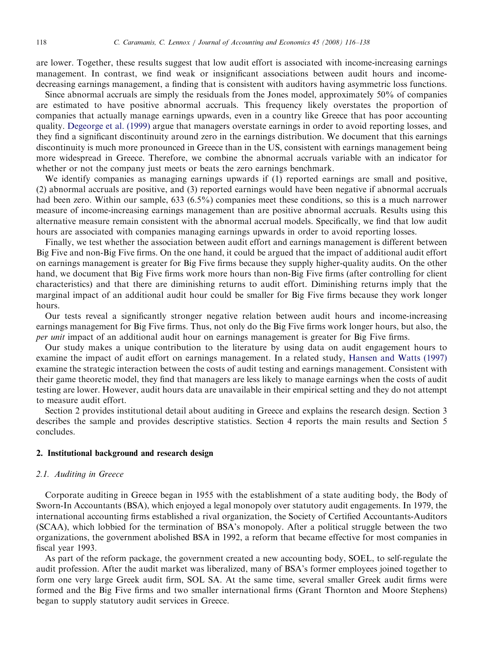are lower. Together, these results suggest that low audit effort is associated with income-increasing earnings management. In contrast, we find weak or insignificant associations between audit hours and incomedecreasing earnings management, a finding that is consistent with auditors having asymmetric loss functions.

Since abnormal accruals are simply the residuals from the Jones model, approximately 50% of companies are estimated to have positive abnormal accruals. This frequency likely overstates the proportion of companies that actually manage earnings upwards, even in a country like Greece that has poor accounting quality. [Degeorge et al. \(1999\)](#page-21-0) argue that managers overstate earnings in order to avoid reporting losses, and they find a significant discontinuity around zero in the earnings distribution. We document that this earnings discontinuity is much more pronounced in Greece than in the US, consistent with earnings management being more widespread in Greece. Therefore, we combine the abnormal accruals variable with an indicator for whether or not the company just meets or beats the zero earnings benchmark.

We identify companies as managing earnings upwards if (1) reported earnings are small and positive, (2) abnormal accruals are positive, and (3) reported earnings would have been negative if abnormal accruals had been zero. Within our sample, 633 (6.5%) companies meet these conditions, so this is a much narrower measure of income-increasing earnings management than are positive abnormal accruals. Results using this alternative measure remain consistent with the abnormal accrual models. Specifically, we find that low audit hours are associated with companies managing earnings upwards in order to avoid reporting losses.

Finally, we test whether the association between audit effort and earnings management is different between Big Five and non-Big Five firms. On the one hand, it could be argued that the impact of additional audit effort on earnings management is greater for Big Five firms because they supply higher-quality audits. On the other hand, we document that Big Five firms work more hours than non-Big Five firms (after controlling for client characteristics) and that there are diminishing returns to audit effort. Diminishing returns imply that the marginal impact of an additional audit hour could be smaller for Big Five firms because they work longer hours.

Our tests reveal a significantly stronger negative relation between audit hours and income-increasing earnings management for Big Five firms. Thus, not only do the Big Five firms work longer hours, but also, the per unit impact of an additional audit hour on earnings management is greater for Big Five firms.

Our study makes a unique contribution to the literature by using data on audit engagement hours to examine the impact of audit effort on earnings management. In a related study, [Hansen and Watts \(1997\)](#page-22-0) examine the strategic interaction between the costs of audit testing and earnings management. Consistent with their game theoretic model, they find that managers are less likely to manage earnings when the costs of audit testing are lower. However, audit hours data are unavailable in their empirical setting and they do not attempt to measure audit effort.

Section 2 provides institutional detail about auditing in Greece and explains the research design. Section 3 describes the sample and provides descriptive statistics. Section 4 reports the main results and Section 5 concludes.

# 2. Institutional background and research design

## 2.1. Auditing in Greece

Corporate auditing in Greece began in 1955 with the establishment of a state auditing body, the Body of Sworn-In Accountants (BSA), which enjoyed a legal monopoly over statutory audit engagements. In 1979, the international accounting firms established a rival organization, the Society of Certified Accountants-Auditors (SCAA), which lobbied for the termination of BSA's monopoly. After a political struggle between the two organizations, the government abolished BSA in 1992, a reform that became effective for most companies in fiscal year 1993.

As part of the reform package, the government created a new accounting body, SOEL, to self-regulate the audit profession. After the audit market was liberalized, many of BSA's former employees joined together to form one very large Greek audit firm, SOL SA. At the same time, several smaller Greek audit firms were formed and the Big Five firms and two smaller international firms (Grant Thornton and Moore Stephens) began to supply statutory audit services in Greece.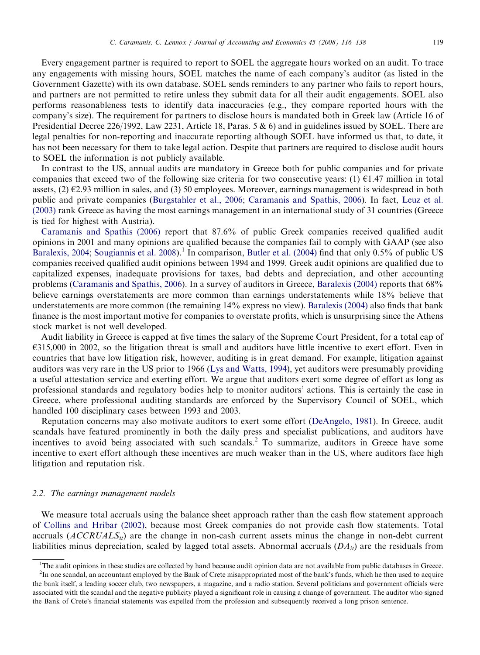Every engagement partner is required to report to SOEL the aggregate hours worked on an audit. To trace any engagements with missing hours, SOEL matches the name of each company's auditor (as listed in the Government Gazette) with its own database. SOEL sends reminders to any partner who fails to report hours, and partners are not permitted to retire unless they submit data for all their audit engagements. SOEL also performs reasonableness tests to identify data inaccuracies (e.g., they compare reported hours with the company's size). The requirement for partners to disclose hours is mandated both in Greek law (Article 16 of Presidential Decree 226/1992, Law 2231, Article 18, Paras. 5 & 6) and in guidelines issued by SOEL. There are legal penalties for non-reporting and inaccurate reporting although SOEL have informed us that, to date, it has not been necessary for them to take legal action. Despite that partners are required to disclose audit hours to SOEL the information is not publicly available.

In contrast to the US, annual audits are mandatory in Greece both for public companies and for private companies that exceed two of the following size criteria for two consecutive years: (1)  $\epsilon$ 1.47 million in total assets, (2)  $\epsilon$ 2.93 million in sales, and (3) 50 employees. Moreover, earnings management is widespread in both public and private companies [\(Burgstahler et al., 2006](#page-21-0); [Caramanis and Spathis, 2006](#page-21-0)). In fact, [Leuz et al.](#page-22-0) [\(2003\)](#page-22-0) rank Greece as having the most earnings management in an international study of 31 countries (Greece is tied for highest with Austria).

[Caramanis and Spathis \(2006\)](#page-21-0) report that 87.6% of public Greek companies received qualified audit opinions in 2001 and many opinions are qualified because the companies fail to comply with GAAP (see also [Baralexis, 2004](#page-21-0); [Sougiannis et al. 2008](#page-22-0)).<sup>1</sup> In comparison, [Butler et al. \(2004\)](#page-21-0) find that only 0.5% of public US companies received qualified audit opinions between 1994 and 1999. Greek audit opinions are qualified due to capitalized expenses, inadequate provisions for taxes, bad debts and depreciation, and other accounting problems [\(Caramanis and Spathis, 2006](#page-21-0)). In a survey of auditors in Greece, [Baralexis \(2004\)](#page-21-0) reports that 68% believe earnings overstatements are more common than earnings understatements while 18% believe that understatements are more common (the remaining 14% express no view). [Baralexis \(2004\)](#page-21-0) also finds that bank finance is the most important motive for companies to overstate profits, which is unsurprising since the Athens stock market is not well developed.

Audit liability in Greece is capped at five times the salary of the Supreme Court President, for a total cap of  $6315,000$  in 2002, so the litigation threat is small and auditors have little incentive to exert effort. Even in countries that have low litigation risk, however, auditing is in great demand. For example, litigation against auditors was very rare in the US prior to 1966 [\(Lys and Watts, 1994\)](#page-22-0), yet auditors were presumably providing a useful attestation service and exerting effort. We argue that auditors exert some degree of effort as long as professional standards and regulatory bodies help to monitor auditors' actions. This is certainly the case in Greece, where professional auditing standards are enforced by the Supervisory Council of SOEL, which handled 100 disciplinary cases between 1993 and 2003.

Reputation concerns may also motivate auditors to exert some effort ([DeAngelo, 1981](#page-21-0)). In Greece, audit scandals have featured prominently in both the daily press and specialist publications, and auditors have incentives to avoid being associated with such scandals.<sup>2</sup> To summarize, auditors in Greece have some incentive to exert effort although these incentives are much weaker than in the US, where auditors face high litigation and reputation risk.

## 2.2. The earnings management models

We measure total accruals using the balance sheet approach rather than the cash flow statement approach of [Collins and Hribar \(2002\)](#page-21-0), because most Greek companies do not provide cash flow statements. Total accruals  $(ACCRUALS<sub>ii</sub>)$  are the change in non-cash current assets minus the change in non-debt current liabilities minus depreciation, scaled by lagged total assets. Abnormal accruals  $(DA_{it})$  are the residuals from

<sup>&</sup>lt;sup>1</sup>The audit opinions in these studies are collected by hand because audit opinion data are not available from public databases in Greece.

<sup>&</sup>lt;sup>2</sup>In one scandal, an accountant employed by the Bank of Crete misappropriated most of the bank's funds, which he then used to acquire the bank itself, a leading soccer club, two newspapers, a magazine, and a radio station. Several politicians and government officials were associated with the scandal and the negative publicity played a significant role in causing a change of government. The auditor who signed the Bank of Crete's financial statements was expelled from the profession and subsequently received a long prison sentence.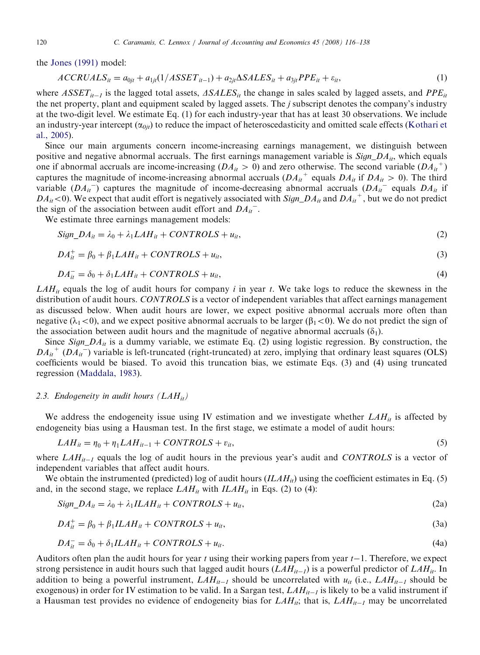the [Jones \(1991\)](#page-22-0) model:

 $ACCRUALS_{it} = a_{0jt} + a_{1jt}(1/ASSET_{it-1}) + a_{2jt}\Delta SALES_{it} + a_{3jt} PPE_{it} + \varepsilon$  $\ddot{t}_{it}$ , (1)

where  $ASSET_{it-1}$  is the lagged total assets,  $ASALES_{it}$  the change in sales scaled by lagged assets, and  $PPE_{it}$ the net property, plant and equipment scaled by lagged assets. The j subscript denotes the company's industry at the two-digit level. We estimate Eq. (1) for each industry-year that has at least 30 observations. We include an industry-year intercept ( $\alpha_{0it}$ ) to reduce the impact of heteroscedasticity and omitted scale effects [\(Kothari et](#page-22-0) [al., 2005\)](#page-22-0).

Since our main arguments concern income-increasing earnings management, we distinguish between positive and negative abnormal accruals. The first earnings management variable is  $Sign\_DA_{it}$ , which equals one if abnormal accruals are income-increasing ( $DA_{it} > 0$ ) and zero otherwise. The second variable ( $DA_{it}$ <sup>+</sup>) captures the magnitude of income-increasing abnormal accruals  $(DA_{it}^+$  equals  $DA_{it}$  if  $DA_{it} > 0$ ). The third variable  $(DA_{ii})$  captures the magnitude of income-decreasing abnormal accruals  $(DA_{ii})$  equals  $DA_{ii}$  if  $DA_{it}$  < 0). We expect that audit effort is negatively associated with  $Sign\_DA_{it}$  and  $DA_{it}^+$ , but we do not predict the sign of the association between audit effort and  $DA_{it}^-$ .

We estimate three earnings management models:

$$
Sign\_DA_{it} = \lambda_0 + \lambda_1 LAH_{it} + CONTROLS + u_{it},\tag{2}
$$

$$
DA_{it}^+ = \beta_0 + \beta_1 LAH_{it} + CONTROLS + u_{it},
$$
\n(3)

$$
DA_{it}^- = \delta_0 + \delta_1 LAH_{it} + CONTROLS + u_{it},\tag{4}
$$

 $LAH_{it}$  equals the log of audit hours for company i in year t. We take logs to reduce the skewness in the distribution of audit hours. CONTROLS is a vector of independent variables that affect earnings management as discussed below. When audit hours are lower, we expect positive abnormal accruals more often than negative ( $\lambda_1$  < 0), and we expect positive abnormal accruals to be larger ( $\beta_1$  < 0). We do not predict the sign of the association between audit hours and the magnitude of negative abnormal accruals  $(\delta_1)$ .

Since Sign\_D $A_{it}$  is a dummy variable, we estimate Eq. (2) using logistic regression. By construction, the  $DA_{it}$ <sup>+</sup> ( $DA_{it}^-$ ) variable is left-truncated (right-truncated) at zero, implying that ordinary least squares (OLS) coefficients would be biased. To avoid this truncation bias, we estimate Eqs. (3) and (4) using truncated regression ([Maddala, 1983](#page-22-0)).

# 2.3. Endogeneity in audit hours  $(LAH_{it})$

We address the endogeneity issue using IV estimation and we investigate whether  $LAH_{it}$  is affected by endogeneity bias using a Hausman test. In the first stage, we estimate a model of audit hours:

$$
LAH_{it} = \eta_0 + \eta_1 LAH_{it-1} + CONTROLS + v_{it},\tag{5}
$$

where  $LAH_{it-1}$  equals the log of audit hours in the previous year's audit and CONTROLS is a vector of independent variables that affect audit hours.

We obtain the instrumented (predicted) log of audit hours  $(ILAH_{ii})$  using the coefficient estimates in Eq. (5) and, in the second stage, we replace  $LAH_{it}$  with  $ILAH_{it}$  in Eqs. (2) to (4):

$$
Sign\_DA_{it} = \lambda_0 + \lambda_1 ILAH_{it} + CONTROLS + u_{it},
$$
\n(2a)

$$
DA_{it}^+ = \beta_0 + \beta_1 ILAH_{it} + CONTROLS + u_{it},
$$
\n(3a)

$$
DA_{it}^- = \delta_0 + \delta_1 ILAH_{it} + CONTROLS + u_{it}. \tag{4a}
$$

Auditors often plan the audit hours for year t using their working papers from year  $t-1$ . Therefore, we expect strong persistence in audit hours such that lagged audit hours  $(LAH_{it-1})$  is a powerful predictor of  $LAH_{it}$ . In addition to being a powerful instrument,  $LAH_{it-1}$  should be uncorrelated with  $u_{it}$  (i.e.,  $LAH_{it-1}$  should be exogenous) in order for IV estimation to be valid. In a Sargan test,  $LAH_{it-1}$  is likely to be a valid instrument if a Hausman test provides no evidence of endogeneity bias for  $LAH_{it}$ ; that is,  $LAH_{it-1}$  may be uncorrelated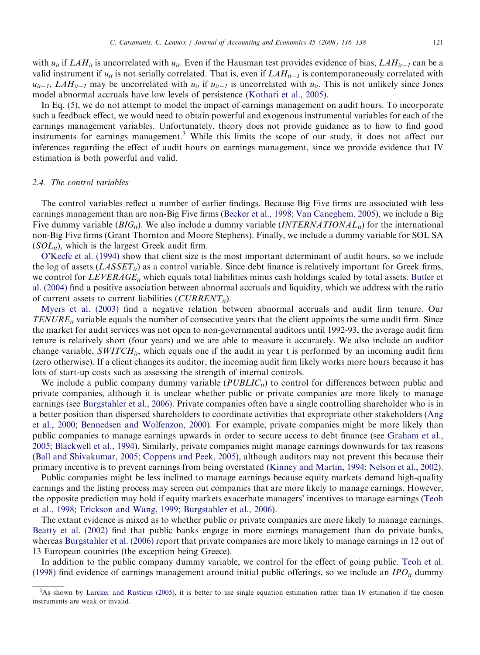with  $u_{it}$  if  $LAH_{it}$  is uncorrelated with  $u_{it}$ . Even if the Hausman test provides evidence of bias,  $LAH_{it-1}$  can be a valid instrument if  $u_{it}$  is not serially correlated. That is, even if  $LAH_{it-1}$  is contemporaneously correlated with  $u_{it-1}$ ,  $LAH_{it-1}$  may be uncorrelated with  $u_{it}$  if  $u_{it-1}$  is uncorrelated with  $u_{it}$ . This is not unlikely since Jones model abnormal accruals have low levels of persistence [\(Kothari et al., 2005\)](#page-22-0).

In Eq. (5), we do not attempt to model the impact of earnings management on audit hours. To incorporate such a feedback effect, we would need to obtain powerful and exogenous instrumental variables for each of the earnings management variables. Unfortunately, theory does not provide guidance as to how to find good instruments for earnings management.<sup>3</sup> While this limits the scope of our study, it does not affect our inferences regarding the effect of audit hours on earnings management, since we provide evidence that IV estimation is both powerful and valid.

#### 2.4. The control variables

The control variables reflect a number of earlier findings. Because Big Five firms are associated with less earnings management than are non-Big Five firms ([Becker et al., 1998;](#page-21-0) [Van Caneghem, 2005](#page-22-0)), we include a Big Five dummy variable  $(BIG_{ii})$ . We also include a dummy variable  $(INTERNATIONAL_{ii})$  for the international non-Big Five firms (Grant Thornton and Moore Stephens). Finally, we include a dummy variable for SOL SA  $(SOL<sub>it</sub>)$ , which is the largest Greek audit firm.

[O'Keefe et al. \(1994\)](#page-22-0) show that client size is the most important determinant of audit hours, so we include the log of assets  $(LASSET_{it})$  as a control variable. Since debt finance is relatively important for Greek firms, we control for  $LEVERAGE_{it}$  which equals total liabilities minus cash holdings scaled by total assets. [Butler et](#page-21-0) [al. \(2004\)](#page-21-0) find a positive association between abnormal accruals and liquidity, which we address with the ratio of current assets to current liabilities ( $CURRENT<sub>it</sub>$ ).

[Myers et al. \(2003\)](#page-22-0) find a negative relation between abnormal accruals and audit firm tenure. Our  $TENURE_{it}$  variable equals the number of consecutive years that the client appoints the same audit firm. Since the market for audit services was not open to non-governmental auditors until 1992-93, the average audit firm tenure is relatively short (four years) and we are able to measure it accurately. We also include an auditor change variable,  $SWITCH_{ii}$ , which equals one if the audit in year t is performed by an incoming audit firm (zero otherwise). If a client changes its auditor, the incoming audit firm likely works more hours because it has lots of start-up costs such as assessing the strength of internal controls.

We include a public company dummy variable  $(PUBLIC<sub>it</sub>)$  to control for differences between public and private companies, although it is unclear whether public or private companies are more likely to manage earnings (see [Burgstahler et al., 2006](#page-21-0)). Private companies often have a single controlling shareholder who is in a better position than dispersed shareholders to coordinate activities that expropriate other stakeholders ([Ang](#page-21-0) [et al., 2000](#page-21-0); [Bennedsen and Wolfenzon, 2000\)](#page-21-0). For example, private companies might be more likely than public companies to manage earnings upwards in order to secure access to debt finance (see [Graham et al.,](#page-21-0) [2005;](#page-21-0) [Blackwell et al., 1994\)](#page-21-0). Similarly, private companies might manage earnings downwards for tax reasons [\(Ball and Shivakumar, 2005;](#page-21-0) [Coppens and Peek, 2005\)](#page-21-0), although auditors may not prevent this because their primary incentive is to prevent earnings from being overstated ([Kinney and Martin, 1994](#page-22-0); [Nelson et al., 2002](#page-22-0)).

Public companies might be less inclined to manage earnings because equity markets demand high-quality earnings and the listing process may screen out companies that are more likely to manage earnings. However, the opposite prediction may hold if equity markets exacerbate managers' incentives to manage earnings [\(Teoh](#page-22-0) [et al., 1998](#page-22-0); [Erickson and Wang, 1999](#page-21-0); [Burgstahler et al., 2006\)](#page-21-0).

The extant evidence is mixed as to whether public or private companies are more likely to manage earnings. [Beatty et al. \(2002\)](#page-21-0) find that public banks engage in more earnings management than do private banks, whereas [Burgstahler et al. \(2006\)](#page-21-0) report that private companies are more likely to manage earnings in 12 out of 13 European countries (the exception being Greece).

In addition to the public company dummy variable, we control for the effect of going public. [Teoh et al.](#page-22-0) [\(1998\)](#page-22-0) find evidence of earnings management around initial public offerings, so we include an  $IPO<sub>it</sub>$  dummy

<sup>&</sup>lt;sup>3</sup>As shown by [Larcker and Rusticus \(2005\)](#page-22-0), it is better to use single equation estimation rather than IV estimation if the chosen instruments are weak or invalid.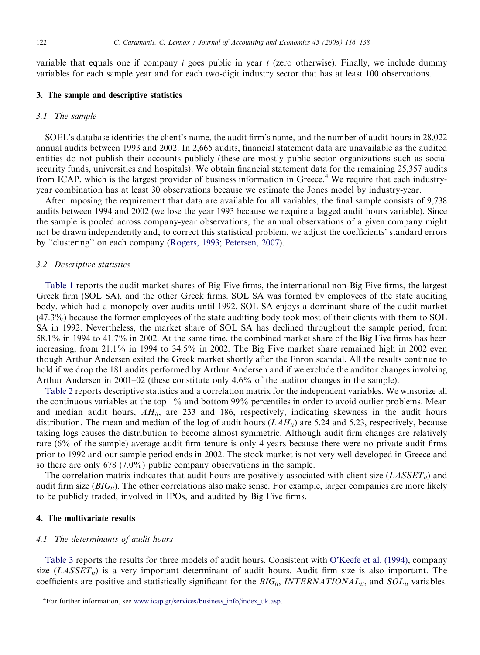variable that equals one if company  $i$  goes public in year  $t$  (zero otherwise). Finally, we include dummy variables for each sample year and for each two-digit industry sector that has at least 100 observations.

#### 3. The sample and descriptive statistics

## 3.1. The sample

SOEL's database identifies the client's name, the audit firm's name, and the number of audit hours in 28,022 annual audits between 1993 and 2002. In 2,665 audits, financial statement data are unavailable as the audited entities do not publish their accounts publicly (these are mostly public sector organizations such as social security funds, universities and hospitals). We obtain financial statement data for the remaining 25,357 audits from ICAP, which is the largest provider of business information in Greece.<sup>4</sup> We require that each industryyear combination has at least 30 observations because we estimate the Jones model by industry-year.

After imposing the requirement that data are available for all variables, the final sample consists of 9,738 audits between 1994 and 2002 (we lose the year 1993 because we require a lagged audit hours variable). Since the sample is pooled across company-year observations, the annual observations of a given company might not be drawn independently and, to correct this statistical problem, we adjust the coefficients' standard errors by ''clustering'' on each company ([Rogers, 1993](#page-22-0); [Petersen, 2007\)](#page-22-0).

#### 3.2. Descriptive statistics

[Table 1](#page-7-0) reports the audit market shares of Big Five firms, the international non-Big Five firms, the largest Greek firm (SOL SA), and the other Greek firms. SOL SA was formed by employees of the state auditing body, which had a monopoly over audits until 1992. SOL SA enjoys a dominant share of the audit market (47.3%) because the former employees of the state auditing body took most of their clients with them to SOL SA in 1992. Nevertheless, the market share of SOL SA has declined throughout the sample period, from 58.1% in 1994 to 41.7% in 2002. At the same time, the combined market share of the Big Five firms has been increasing, from 21.1% in 1994 to 34.5% in 2002. The Big Five market share remained high in 2002 even though Arthur Andersen exited the Greek market shortly after the Enron scandal. All the results continue to hold if we drop the 181 audits performed by Arthur Andersen and if we exclude the auditor changes involving Arthur Andersen in 2001–02 (these constitute only 4.6% of the auditor changes in the sample).

[Table 2](#page-8-0) reports descriptive statistics and a correlation matrix for the independent variables. We winsorize all the continuous variables at the top 1% and bottom 99% percentiles in order to avoid outlier problems. Mean and median audit hours,  $AH_{ii}$ , are 233 and 186, respectively, indicating skewness in the audit hours distribution. The mean and median of the log of audit hours  $(LAH_{it})$  are 5.24 and 5.23, respectively, because taking logs causes the distribution to become almost symmetric. Although audit firm changes are relatively rare (6% of the sample) average audit firm tenure is only 4 years because there were no private audit firms prior to 1992 and our sample period ends in 2002. The stock market is not very well developed in Greece and so there are only 678 (7.0%) public company observations in the sample.

The correlation matrix indicates that audit hours are positively associated with client size  $(LASSET<sub>it</sub>)$  and audit firm size ( $BIG_{ii}$ ). The other correlations also make sense. For example, larger companies are more likely to be publicly traded, involved in IPOs, and audited by Big Five firms.

## 4. The multivariate results

### 4.1. The determinants of audit hours

[Table 3](#page-9-0) reports the results for three models of audit hours. Consistent with [O'Keefe et al. \(1994\),](#page-22-0) company size  $(LASSET_{it})$  is a very important determinant of audit hours. Audit firm size is also important. The coefficients are positive and statistically significant for the  $BIG_{ii}$ , INTERNATIONAL<sub>it</sub>, and  $SOL_{it}$  variables.

<sup>4</sup> For further information, see [www.icap.gr/services/business\\_info/index\\_uk.asp](http://www.icap.gr/services/business_info/index_uk.asp).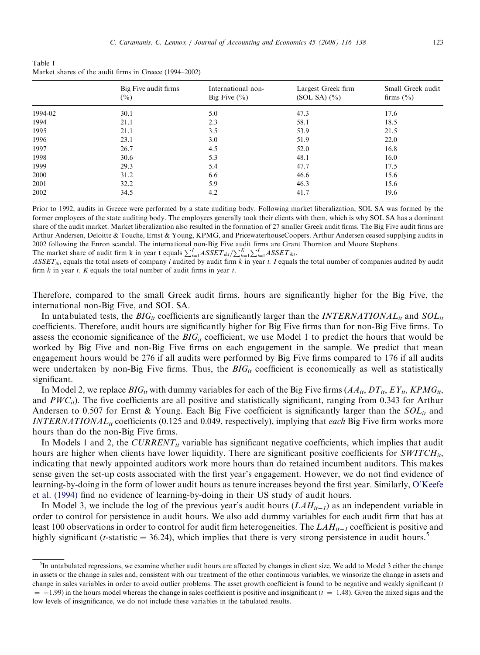<span id="page-7-0"></span>Table 1 Market shares of the audit firms in Greece (1994–2002)

|         | Big Five audit firms<br>$(\%)$ | International non-<br>Big Five $(\% )$ | Largest Greek firm<br>$(SOL SA)$ $(\frac{9}{6})$ | Small Greek audit<br>firms $(\% )$ |  |
|---------|--------------------------------|----------------------------------------|--------------------------------------------------|------------------------------------|--|
| 1994-02 | 30.1                           | 5.0                                    | 47.3                                             | 17.6                               |  |
| 1994    | 21.1                           | 2.3                                    | 58.1                                             | 18.5                               |  |
| 1995    | 21.1                           | 3.5                                    | 53.9                                             | 21.5                               |  |
| 1996    | 23.1                           | 3.0                                    | 51.9                                             | 22.0                               |  |
| 1997    | 26.7                           | 4.5                                    | 52.0                                             | 16.8                               |  |
| 1998    | 30.6                           | 5.3                                    | 48.1                                             | 16.0                               |  |
| 1999    | 29.3                           | 5.4                                    | 47.7                                             | 17.5                               |  |
| 2000    | 31.2                           | 6.6                                    | 46.6                                             | 15.6                               |  |
| 2001    | 32.2                           | 5.9                                    | 46.3                                             | 15.6                               |  |
| 2002    | 34.5                           | 4.2                                    | 41.7                                             | 19.6                               |  |

Prior to 1992, audits in Greece were performed by a state auditing body. Following market liberalization, SOL SA was formed by the former employees of the state auditing body. The employees generally took their clients with them, which is why SOL SA has a dominant share of the audit market. Market liberalization also resulted in the formation of 27 smaller Greek audit firms. The Big Five audit firms are Arthur Andersen, Deloitte & Touche, Ernst & Young, KPMG, and PricewaterhouseCoopers. Arthur Andersen ceased supplying audits in 2002 following the Enron scandal. The international non-Big Five audit firms are Grant Thornton and Moore Stephens. The market share of audit firm k in year t equals  $\sum_{i=1}^{I} ASSET_{ikt} / \sum_{k=1}^{K} \sum_{i=1}^{I} ASSET_{ikt}$ .

 $ASSET_{ikt}$  equals the total assets of company *i* audited by audit firm k in year t. I equals the total number of companies audited by audit firm  $k$  in year  $t$ .  $K$  equals the total number of audit firms in year  $t$ .

Therefore, compared to the small Greek audit firms, hours are significantly higher for the Big Five, the international non-Big Five, and SOL SA.

In untabulated tests, the BIG<sub>it</sub> coefficients are significantly larger than the INTERNATIONAL<sub>it</sub> and SOL<sub>it</sub> coefficients. Therefore, audit hours are significantly higher for Big Five firms than for non-Big Five firms. To assess the economic significance of the  $BIG_{ii}$  coefficient, we use Model 1 to predict the hours that would be worked by Big Five and non-Big Five firms on each engagement in the sample. We predict that mean engagement hours would be 276 if all audits were performed by Big Five firms compared to 176 if all audits were undertaken by non-Big Five firms. Thus, the  $BIG_{it}$  coefficient is economically as well as statistically significant.

In Model 2, we replace  $BIG_{it}$  with dummy variables for each of the Big Five firms  $(AA_{it}, DT_{it}, EY_{it}, KPMG_{it}, EY_{it})$ and  $PWC_{ii}$ ). The five coefficients are all positive and statistically significant, ranging from 0.343 for Arthur Andersen to 0.507 for Ernst & Young. Each Big Five coefficient is significantly larger than the  $SOL_{it}$  and INTERNATIONAL<sub>it</sub> coefficients (0.125 and 0.049, respectively), implying that *each* Big Five firm works more hours than do the non-Big Five firms.

In Models 1 and 2, the  $CURRENT<sub>it</sub>$  variable has significant negative coefficients, which implies that audit hours are higher when clients have lower liquidity. There are significant positive coefficients for  $SWITCH_{ii}$ , indicating that newly appointed auditors work more hours than do retained incumbent auditors. This makes sense given the set-up costs associated with the first year's engagement. However, we do not find evidence of learning-by-doing in the form of lower audit hours as tenure increases beyond the first year. Similarly, [O'Keefe](#page-22-0) [et al. \(1994\)](#page-22-0) find no evidence of learning-by-doing in their US study of audit hours.

In Model 3, we include the log of the previous year's audit hours  $(LAH_{it-1})$  as an independent variable in order to control for persistence in audit hours. We also add dummy variables for each audit firm that has at least 100 observations in order to control for audit firm heterogeneities. The  $LAH_{it-1}$  coefficient is positive and highly significant (*t*-statistic  $= 36.24$ ), which implies that there is very strong persistence in audit hours.<sup>5</sup>

<sup>&</sup>lt;sup>5</sup>In untabulated regressions, we examine whether audit hours are affected by changes in client size. We add to Model 3 either the change in assets or the change in sales and, consistent with our treatment of the other continuous variables, we winsorize the change in assets and change in sales variables in order to avoid outlier problems. The asset growth coefficient is found to be negative and weakly significant (t  $=$  -1.99) in the hours model whereas the change in sales coefficient is positive and insignificant ( $t = 1.48$ ). Given the mixed signs and the low levels of insignificance, we do not include these variables in the tabulated results.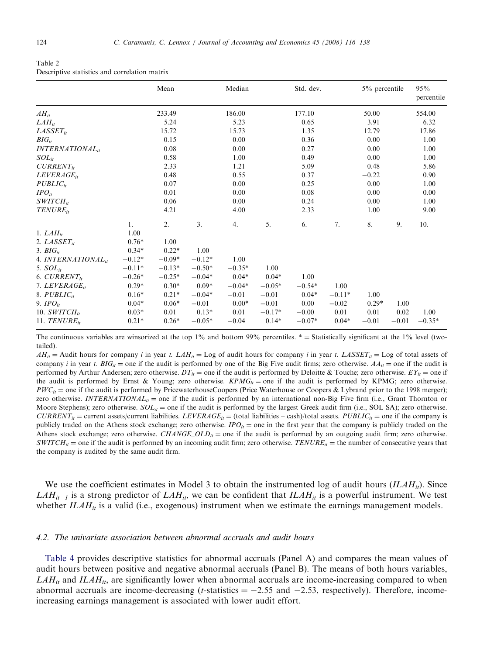<span id="page-8-0"></span>Table 2 Descriptive statistics and correlation matrix

|                                    |          | Mean     |          | Median   |          | Std. dev. |          | $5\%$ percentile |         | 95%<br>percentile |
|------------------------------------|----------|----------|----------|----------|----------|-----------|----------|------------------|---------|-------------------|
| $AH_{it}$                          |          | 233.49   |          | 186.00   |          | 177.10    |          | 50.00            |         | 554.00            |
| $LAH_{it}$                         |          | 5.24     |          | 5.23     |          | 0.65      |          | 3.91             |         | 6.32              |
| $LASSET_{it}$                      |          | 15.72    |          | 15.73    |          | 1.35      |          | 12.79            |         | 17.86             |
| $BIG_{it}$                         |          | 0.15     |          | 0.00     |          | 0.36      |          | 0.00             |         | 1.00              |
| <b>INTERNATIONAL</b> <sub>it</sub> |          | 0.08     |          | 0.00     |          | 0.27      |          | 0.00             |         | 1.00              |
| $SOL_{it}$                         |          | 0.58     |          | 1.00     |          | 0.49      |          | 0.00             |         | 1.00              |
| $CURRENT_{it}$                     |          | 2.33     |          | 1.21     |          | 5.09      |          | 0.48             |         | 5.86              |
| $LEVERAGE_{it}$                    |          | 0.48     |          | 0.55     |          | 0.37      |          | $-0.22$          |         | 0.90              |
| $PUBLIC_{it}$                      |          | 0.07     |          | 0.00     |          | 0.25      |          | 0.00             |         | 1.00              |
| $IPO_{it}$                         |          | 0.01     |          | 0.00     |          | 0.08      |          | 0.00             |         | 0.00              |
| $SWITCH_{it}$                      |          | 0.06     |          | 0.00     |          | 0.24      |          | 0.00             |         | 1.00              |
| $TENURE_{it}$                      |          | 4.21     |          | 4.00     |          | 2.33      |          | 1.00             |         | 9.00              |
|                                    | 1.       | 2.       | 3.       | 4.       | 5.       | 6.        | 7.       | 8.               | 9.      | 10.               |
| 1. $LAH_{it}$                      | 1.00     |          |          |          |          |           |          |                  |         |                   |
| 2. $LASSET_{it}$                   | $0.76*$  | 1.00     |          |          |          |           |          |                  |         |                   |
| 3. $BIG_{ir}$                      | $0.34*$  | $0.22*$  | 1.00     |          |          |           |          |                  |         |                   |
| 4. INTERNATIONAL <sub>it</sub>     | $-0.12*$ | $-0.09*$ | $-0.12*$ | 1.00     |          |           |          |                  |         |                   |
| 5. $SOL_{ii}$                      | $-0.11*$ | $-0.13*$ | $-0.50*$ | $-0.35*$ | 1.00     |           |          |                  |         |                   |
| 6. $CURRENT_{it}$                  | $-0.26*$ | $-0.25*$ | $-0.04*$ | $0.04*$  | $0.04*$  | 1.00      |          |                  |         |                   |
| 7. LEVERAGE $_{it}$                | $0.29*$  | $0.30*$  | $0.09*$  | $-0.04*$ | $-0.05*$ | $-0.54*$  | 1.00     |                  |         |                   |
| 8. $\textit{PUBLIC}_{it}$          | $0.16*$  | $0.21*$  | $-0.04*$ | $-0.01$  | $-0.01$  | $0.04*$   | $-0.11*$ | 1.00             |         |                   |
| 9. IP $O_{it}$                     | $0.04*$  | $0.06*$  | $-0.01$  | $0.00*$  | $-0.01$  | 0.00      | $-0.02$  | $0.29*$          | 1.00    |                   |
| 10. $SWITCHir$                     | $0.03*$  | 0.01     | $0.13*$  | 0.01     | $-0.17*$ | $-0.00$   | 0.01     | 0.01             | 0.02    | 1.00              |
| 11. $TENURE_{it}$                  | $0.21*$  | $0.26*$  | $-0.05*$ | $-0.04$  | $0.14*$  | $-0.07*$  | $0.04*$  | $-0.01$          | $-0.01$ | $-0.35*$          |

The continuous variables are winsorized at the top 1% and bottom 99% percentiles.  $* =$  Statistically significant at the 1% level (twotailed).

 $AH_{ii}$  = Audit hours for company i in year t.  $LAH_{ii}$  = Log of audit hours for company i in year t.  $LASSET_{ii}$  = Log of total assets of company *i* in year *t.* BIG<sub>it</sub> = one if the audit is performed by one of the Big Five audit firms; zero otherwise.  $AA_{ii}$  = one if the audit is performed by Arthur Andersen; zero otherwise.  $DT_{it}$  = one if the audit is performed by Deloitte & Touche; zero otherwise.  $EY_{it}$  = one if the audit is performed by Ernst & Young; zero otherwise.  $KPMG_{ii} =$  one if the audit is performed by KPMG; zero otherwise. PWC<sub>it</sub> = one if the audit is performed by PricewaterhouseCoopers (Price Waterhouse or Coopers & Lybrand prior to the 1998 merger); zero otherwise. INTERNATIONAL<sub>it</sub> = one if the audit is performed by an international non-Big Five firm (i.e., Grant Thornton or Moore Stephens); zero otherwise.  $SOL_{ii}$  = one if the audit is performed by the largest Greek audit firm (i.e., SOL SA); zero otherwise. CURRENT<sub>it</sub> = current assets/current liabilities. LEVERAGE<sub>it</sub> = (total liabilities – cash)/total assets. PUBLIC<sub>it</sub> = one if the company is publicly traded on the Athens stock exchange; zero otherwise.  $IPO_{it}$  = one in the first year that the company is publicly traded on the Athens stock exchange; zero otherwise.  $CHANGE_OLD_{ii} =$  one if the audit is performed by an outgoing audit firm; zero otherwise.  $SWITCH_{ii}$  = one if the audit is performed by an incoming audit firm; zero otherwise. TENURE<sub>it</sub> = the number of consecutive years that the company is audited by the same audit firm.

We use the coefficient estimates in Model 3 to obtain the instrumented log of audit hours  $(ILAH_{ii})$ . Since  $LAH_{it-1}$  is a strong predictor of  $LAH_{it}$ , we can be confident that  $ILAH_{it}$  is a powerful instrument. We test whether  $ILAH_{it}$  is a valid (i.e., exogenous) instrument when we estimate the earnings management models.

## 4.2. The univariate association between abnormal accruals and audit hours

[Table 4](#page-10-0) provides descriptive statistics for abnormal accruals (Panel A) and compares the mean values of audit hours between positive and negative abnormal accruals (Panel B). The means of both hours variables,  $LAH_{ii}$  and  $ILAH_{ii}$ , are significantly lower when abnormal accruals are income-increasing compared to when abnormal accruals are income-decreasing (*t*-statistics  $= -2.55$  and  $-2.53$ , respectively). Therefore, incomeincreasing earnings management is associated with lower audit effort.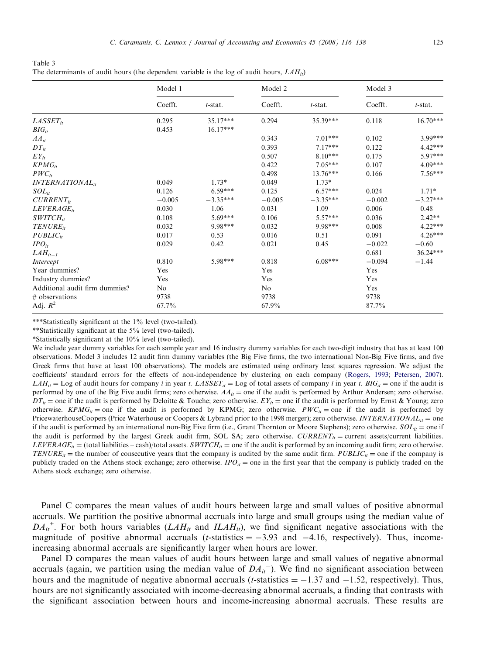<span id="page-9-0"></span>Table 3 The determinants of audit hours (the dependent variable is the log of audit hours,  $LAH_{ii}$ )

|                                    | Model 1  |            | Model 2  |            | Model 3  |            |  |
|------------------------------------|----------|------------|----------|------------|----------|------------|--|
|                                    | Coefft.  | $t$ -stat. | Coefft.  | $t$ -stat. | Coefft.  | $t$ -stat. |  |
| $LASSET_{it}$                      | 0.295    | 35.17***   | 0.294    | 35.39***   | 0.118    | $16.70***$ |  |
| $BIG_{it}$                         | 0.453    | $16.17***$ |          |            |          |            |  |
| $AA_{it}$                          |          |            | 0.343    | $7.01***$  | 0.102    | 3.99***    |  |
| $DT_{it}$                          |          |            | 0.393    | $7.17***$  | 0.122    | $4.42***$  |  |
| $EY_{it}$                          |          |            | 0.507    | $8.10***$  | 0.175    | 5.97***    |  |
| $KPMG_{ii}$                        |          |            | 0.422    | $7.05***$  | 0.107    | 4.09***    |  |
| $PWC_{it}$                         |          |            | 0.498    | 13.76***   | 0.166    | $7.56***$  |  |
| <b>INTERNATIONAL</b> <sub>it</sub> | 0.049    | $1.73*$    | 0.049    | $1.73*$    |          |            |  |
| $SOL_{it}$                         | 0.126    | $6.59***$  | 0.125    | $6.57***$  | 0.024    | $1.71*$    |  |
| $CURRENT_{it}$                     | $-0.005$ | $-3.35***$ | $-0.005$ | $-3.35***$ | $-0.002$ | $-3.27***$ |  |
| $LEVERAGE_{it}$                    | 0.030    | 1.06       | 0.031    | 1.09       | 0.006    | 0.48       |  |
| $SWITCH_{it}$                      | 0.108    | $5.69***$  | 0.106    | $5.57***$  | 0.036    | $2.42**$   |  |
| $TENURE_{it}$                      | 0.032    | 9.98***    | 0.032    | 9.98***    | 0.008    | 4.22***    |  |
| $PUBLIC_{it}$                      | 0.017    | 0.53       | 0.016    | 0.51       | 0.091    | $4.26***$  |  |
| $IPO_{it}$                         | 0.029    | 0.42       | 0.021    | 0.45       | $-0.022$ | $-0.60$    |  |
| $LAH_{it-1}$                       |          |            |          |            | 0.681    | 36.24***   |  |
| Intercept                          | 0.810    | 5.98***    | 0.818    | $6.08***$  | $-0.094$ | $-1.44$    |  |
| Year dummies?                      | Yes      |            | Yes      |            | Yes      |            |  |
| Industry dummies?                  | Yes      |            | Yes      |            | Yes      |            |  |
| Additional audit firm dummies?     | No       |            | No       |            | Yes      |            |  |
| # observations                     | 9738     |            | 9738     |            | 9738     |            |  |
| Adj. $R^2$                         | 67.7%    |            | 67.9%    |            | 87.7%    |            |  |

\*\*\*Statistically significant at the 1% level (two-tailed).

\*\*Statistically significant at the 5% level (two-tailed).

\*Statistically significant at the 10% level (two-tailed).

We include year dummy variables for each sample year and 16 industry dummy variables for each two-digit industry that has at least 100 observations. Model 3 includes 12 audit firm dummy variables (the Big Five firms, the two international Non-Big Five firms, and five Greek firms that have at least 100 observations). The models are estimated using ordinary least squares regression. We adjust the coefficients' standard errors for the effects of non-independence by clustering on each company [\(Rogers, 1993;](#page-22-0) [Petersen, 2007](#page-22-0)).  $LAH_{ii}$  = Log of audit hours for company i in year t. LASSET<sub>it</sub> = Log of total assets of company i in year t. BIG<sub>it</sub> = one if the audit is performed by one of the Big Five audit firms; zero otherwise.  $AA_{ii}$  = one if the audit is performed by Arthur Andersen; zero otherwise.  $DT_{it}$  = one if the audit is performed by Deloitte & Touche; zero otherwise.  $EY_{it}$  = one if the audit is performed by Ernst & Young; zero otherwise.  $KPMG_{ii}$  = one if the audit is performed by KPMG; zero otherwise.  $PWC_{ii}$  = one if the audit is performed by PricewaterhouseCoopers (Price Waterhouse or Coopers & Lybrand prior to the 1998 merger); zero otherwise. INTERNATIONAL $u_1$  = one if the audit is performed by an international non-Big Five firm (i.e., Grant Thornton or Moore Stephens); zero otherwise.  $SOL_{ii}$  = one if the audit is performed by the largest Greek audit firm, SOL SA; zero otherwise.  $CURRENT<sub>it</sub>$  = current assets/current liabilities. LEVERAGE<sub>it</sub> = (total liabilities – cash)/total assets. SWITCH<sub>it</sub> = one if the audit is performed by an incoming audit firm; zero otherwise. TENURE<sub>it</sub> = the number of consecutive years that the company is audited by the same audit firm. PUBLIC<sub>it</sub> = one if the company is publicly traded on the Athens stock exchange; zero otherwise.  $IPO_{it}$  = one in the first year that the company is publicly traded on the Athens stock exchange; zero otherwise.

Panel C compares the mean values of audit hours between large and small values of positive abnormal accruals. We partition the positive abnormal accruals into large and small groups using the median value of  $DA_{it}$ <sup>+</sup>. For both hours variables  $(LAH_{it}$  and  $ILAH_{it})$ , we find significant negative associations with the magnitude of positive abnormal accruals (*t*-statistics  $=$  -3.93 and -4.16, respectively). Thus, incomeincreasing abnormal accruals are significantly larger when hours are lower.

Panel D compares the mean values of audit hours between large and small values of negative abnormal accruals (again, we partition using the median value of  $DA_{it}^-$ ). We find no significant association between hours and the magnitude of negative abnormal accruals (*t*-statistics  $= -1.37$  and  $-1.52$ , respectively). Thus, hours are not significantly associated with income-decreasing abnormal accruals, a finding that contrasts with the significant association between hours and income-increasing abnormal accruals. These results are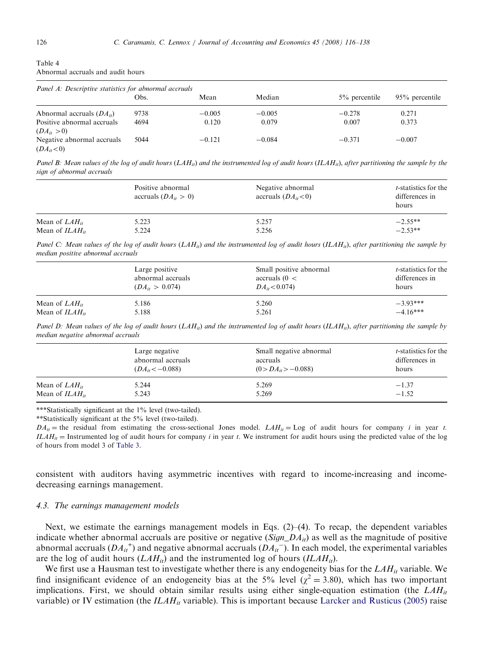| Panel A: Descriptive statistics for abnormal accruals                          |              |                   |                   |                   |                |  |  |  |  |  |  |
|--------------------------------------------------------------------------------|--------------|-------------------|-------------------|-------------------|----------------|--|--|--|--|--|--|
|                                                                                | Obs.         | Mean              | Median            | 5% percentile     | 95% percentile |  |  |  |  |  |  |
| Abnormal accruals $(DA_{ii})$<br>Positive abnormal accruals<br>$(DA_{ii} > 0)$ | 9738<br>4694 | $-0.005$<br>0.120 | $-0.005$<br>0.079 | $-0.278$<br>0.007 | 0.271<br>0.373 |  |  |  |  |  |  |
| Negative abnormal accruals<br>$(DA_{ii}{<}0)$                                  | 5044         | $-0.121$          | $-0.084$          | $-0.371$          | $-0.007$       |  |  |  |  |  |  |

<span id="page-10-0"></span>Table 4 Abnormal accruals and audit hours

Panel B: Mean values of the log of audit hours  $(LAH_{ii})$  and the instrumented log of audit hours  $(ILAH_{ii})$ , after partitioning the sample by the sign of abnormal accruals

|                     | Positive abnormal<br>accruals $(DA_{ii} > 0)$ | Negative abnormal<br>accruals $(DAit < 0)$ | <i>t</i> -statistics for the<br>differences in<br>hours |  |
|---------------------|-----------------------------------------------|--------------------------------------------|---------------------------------------------------------|--|
| Mean of $LAH_{ir}$  | 5.223                                         | 5.257                                      | $-2.55**$                                               |  |
| Mean of $ILAH_{ir}$ | 5.224                                         | 5.256                                      | $-2.53**$                                               |  |

Panel C: Mean values of the log of audit hours  $(LAH_{ii})$  and the instrumented log of audit hours  $(ILAH_{ii})$ , after partitioning the sample by median positive abnormal accruals

|                     | Large positive<br>abnormal accruals<br>$(DA_{ii} > 0.074)$ | Small positive abnormal<br>accruals $(0 <$<br>$DA_{ii} < 0.074$ | <i>t</i> -statistics for the<br>differences in<br>hours |  |
|---------------------|------------------------------------------------------------|-----------------------------------------------------------------|---------------------------------------------------------|--|
| Mean of $LAH_{ir}$  | 5.186                                                      | 5.260                                                           | $-3.93***$                                              |  |
| Mean of $ILAH_{ir}$ | 5.188                                                      | 5.261                                                           | $-4.16***$                                              |  |

Panel D: Mean values of the log of audit hours  $(LAH_{ii})$  and the instrumented log of audit hours  $(ILAH_{ii})$ , after partitioning the sample by median negative abnormal accruals

|                     | Large negative       | Small negative abnormal  | <i>t</i> -statistics for the |  |
|---------------------|----------------------|--------------------------|------------------------------|--|
|                     | abnormal accruals    | accruals                 | differences in               |  |
|                     | $(DA_{ii} < -0.088)$ | $(0 > DA_{ii} > -0.088)$ | hours                        |  |
| Mean of $LAH_{it}$  | 5.244                | 5.269                    | $-1.37$                      |  |
| Mean of $ILAH_{ii}$ | 5.243                | 5.269                    | $-1.52$                      |  |

\*\*\*Statistically significant at the 1% level (two-tailed).

\*\*Statistically significant at the 5% level (two-tailed).

 $DA_{it}$  = the residual from estimating the cross-sectional Jones model.  $LAH_{it}$  = Log of audit hours for company i in year t.  $ILAH_{ii}$  = Instrumented log of audit hours for company *i* in year *t*. We instrument for audit hours using the predicted value of the log of hours from model 3 of [Table 3.](#page-9-0)

consistent with auditors having asymmetric incentives with regard to income-increasing and incomedecreasing earnings management.

## 4.3. The earnings management models

Next, we estimate the earnings management models in Eqs. (2)–(4). To recap, the dependent variables indicate whether abnormal accruals are positive or negative  $(Sign_D A_{ii})$  as well as the magnitude of positive abnormal accruals  $(DA_{it}^+)$  and negative abnormal accruals  $(DA_{it}^-)$ . In each model, the experimental variables are the log of audit hours  $(LAH_{it})$  and the instrumented log of hours  $(ILAH_{it})$ .

We first use a Hausman test to investigate whether there is any endogeneity bias for the  $LAH_{ii}$  variable. We find insignificant evidence of an endogeneity bias at the 5% level  $(\chi^2 = 3.80)$ , which has two important implications. First, we should obtain similar results using either single-equation estimation (the  $LAH_{it}$ variable) or IV estimation (the  $ILAH_{it}$  variable). This is important because [Larcker and Rusticus \(2005\)](#page-22-0) raise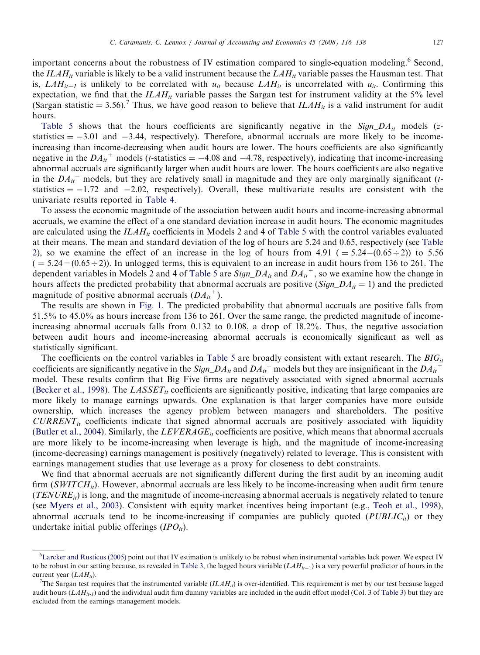hours. [Table 5](#page-12-0) shows that the hours coefficients are significantly negative in the  $Sign\_DA_{it}$  models (zstatistics  $= -3.01$  and  $-3.44$ , respectively). Therefore, abnormal accruals are more likely to be incomeincreasing than income-decreasing when audit hours are lower. The hours coefficients are also significantly negative in the  $DA_{it}$ <sup>+</sup> models (*t*-statistics = -4.08 and -4.78, respectively), indicating that income-increasing abnormal accruals are significantly larger when audit hours are lower. The hours coefficients are also negative in the  $DA_{it}^-$  models, but they are relatively small in magnitude and they are only marginally significant (*t*statistics  $= -1.72$  and  $-2.02$ , respectively). Overall, these multivariate results are consistent with the univariate results reported in [Table 4.](#page-10-0)

To assess the economic magnitude of the association between audit hours and income-increasing abnormal accruals, we examine the effect of a one standard deviation increase in audit hours. The economic magnitudes are calculated using the  $ILAH_{ii}$  coefficients in Models 2 and 4 of [Table 5](#page-12-0) with the control variables evaluated at their means. The mean and standard deviation of the log of hours are 5.24 and 0.65, respectively (see [Table](#page-8-0) [2\)](#page-8-0), so we examine the effect of an increase in the log of hours from 4.91 ( $= 5.24-(0.65 \div 2)$ ) to 5.56  $( = 5.24 + (0.65 \div 2))$ . In unlogged terms, this is equivalent to an increase in audit hours from 136 to 261. The dependent variables in Models 2 and 4 of [Table 5](#page-12-0) are Sign\_D $A_{it}$  and  $DA_{it}^+$ , so we examine how the change in hours affects the predicted probability that abnormal accruals are positive ( $Sign\_DA_{it} = 1$ ) and the predicted magnitude of positive abnormal accruals  $(DA_{it}^{\dagger})$ .

The results are shown in [Fig. 1](#page-13-0). The predicted probability that abnormal accruals are positive falls from 51.5% to 45.0% as hours increase from 136 to 261. Over the same range, the predicted magnitude of incomeincreasing abnormal accruals falls from 0.132 to 0.108, a drop of 18.2%. Thus, the negative association between audit hours and income-increasing abnormal accruals is economically significant as well as statistically significant.

The coefficients on the control variables in [Table 5](#page-12-0) are broadly consistent with extant research. The  $BIG_{it}$ coefficients are significantly negative in the Sign\_DA<sub>it</sub> and DA<sub>it</sub>  $^-$  models but they are insignificant in the DA<sub>it</sub>  $^+$ model. These results confirm that Big Five firms are negatively associated with signed abnormal accruals [\(Becker et al., 1998\)](#page-21-0). The  $LASSET_{it}$  coefficients are significantly positive, indicating that large companies are more likely to manage earnings upwards. One explanation is that larger companies have more outside ownership, which increases the agency problem between managers and shareholders. The positive  $\textit{CURRENT}_{it}$  coefficients indicate that signed abnormal accruals are positively associated with liquidity [\(Butler et al., 2004\)](#page-21-0). Similarly, the  $LEVERAGE_{it}$  coefficients are positive, which means that abnormal accruals are more likely to be income-increasing when leverage is high, and the magnitude of income-increasing (income-decreasing) earnings management is positively (negatively) related to leverage. This is consistent with earnings management studies that use leverage as a proxy for closeness to debt constraints.

We find that abnormal accruals are not significantly different during the first audit by an incoming audit firm  $(SWITCH_{it})$ . However, abnormal accruals are less likely to be income-increasing when audit firm tenure  $(TENURE_{it})$  is long, and the magnitude of income-increasing abnormal accruals is negatively related to tenure (see [Myers et al., 2003](#page-22-0)). Consistent with equity market incentives being important (e.g., [Teoh et al., 1998](#page-22-0)), abnormal accruals tend to be income-increasing if companies are publicly quoted ( $\text{PUBLIC}_{it}$ ) or they undertake initial public offerings  $(IPO<sub>it</sub>)$ .

 ${}^6$ [Larcker and Rusticus \(2005\)](#page-22-0) point out that IV estimation is unlikely to be robust when instrumental variables lack power. We expect IV to be robust in our setting because, as revealed in [Table 3,](#page-9-0) the lagged hours variable  $(LAH_{it-1})$  is a very powerful predictor of hours in the current year  $(LAH_{it})$ .

The Sargan test requires that the instrumented variable  $(ILAH_{ii})$  is over-identified. This requirement is met by our test because lagged audit hours  $(LAH_{it-1})$  and the individual audit firm dummy variables are included in the audit effort model (Col. 3 of [Table 3\)](#page-9-0) but they are excluded from the earnings management models.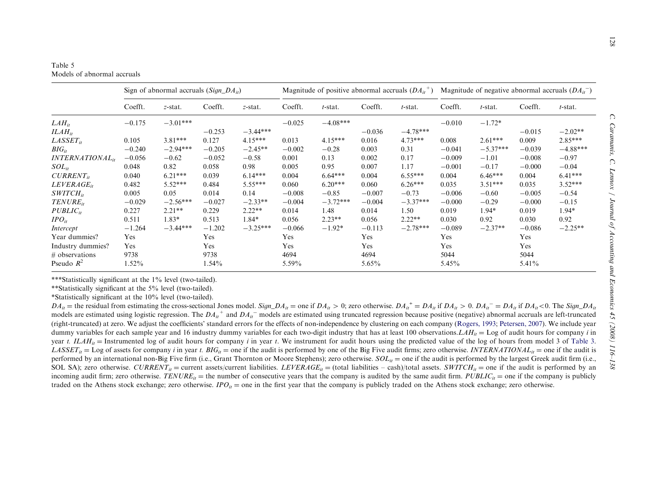<span id="page-12-0"></span>

| Table 5 |                             |
|---------|-----------------------------|
|         | Models of abnormal accruals |

|                                    | Sign of abnormal accruals (Sign_ $DA_{ii}$ ) |            |          |            |            |            | Magnitude of positive abnormal accruals $(DA_{ii}^+)$ Magnitude of negative abnormal accruals $(DA_{ii}^-)$ |            |          |            |          |            |
|------------------------------------|----------------------------------------------|------------|----------|------------|------------|------------|-------------------------------------------------------------------------------------------------------------|------------|----------|------------|----------|------------|
|                                    | Coefft.                                      | z-stat.    | Coefft.  | z-stat.    | Coefft.    | $t$ -stat. | Coefft.                                                                                                     | $t$ -stat. | Coefft.  | $t$ -stat. | Coefft.  | $t$ -stat. |
| $LAH_{it}$                         | $-0.175$                                     | $-3.01***$ |          |            | $-0.025$   | $-4.08***$ |                                                                                                             |            | $-0.010$ | $-1.72*$   |          |            |
| $ILAH_{it}$                        |                                              |            | $-0.253$ | $-3.44***$ |            |            | $-0.036$                                                                                                    | $-4.78***$ |          |            | $-0.015$ | $-2.02**$  |
| $LASSET_{it}$                      | 0.105                                        | $3.81***$  | 0.127    | $4.15***$  | 0.013      | $4.15***$  | 0.016                                                                                                       | $4.73***$  | 0.008    | $2.61***$  | 0.009    | $2.85***$  |
| $BIG_{it}$                         | $-0.240$                                     | $-2.94***$ | $-0.205$ | $-2.45**$  | $-0.002$   | $-0.28$    | 0.003                                                                                                       | 0.31       | $-0.041$ | $-5.37***$ | $-0.039$ | $-4.88***$ |
| <b>INTERNATIONAL</b> <sub>it</sub> | $-0.056$                                     | $-0.62$    | $-0.052$ | $-0.58$    | 0.001      | 0.13       | 0.002                                                                                                       | 0.17       | $-0.009$ | $-1.01$    | $-0.008$ | $-0.97$    |
| $SOL_{ir}$                         | 0.048                                        | 0.82       | 0.058    | 0.98       | 0.005      | 0.95       | 0.007                                                                                                       | 1.17       | $-0.001$ | $-0.17$    | $-0.000$ | $-0.04$    |
| $CURRENT_{it}$                     | 0.040                                        | $6.21***$  | 0.039    | $6.14***$  | 0.004      | $6.64***$  | 0.004                                                                                                       | $6.55***$  | 0.004    | $6.46***$  | 0.004    | $6.41***$  |
| $LEVERAGE_{ir}$                    | 0.482                                        | $5.52***$  | 0.484    | $5.55***$  | 0.060      | $6.20***$  | 0.060                                                                                                       | $6.26***$  | 0.035    | $3.51***$  | 0.035    | $3.52***$  |
| $SWITCH_{ir}$                      | 0.005                                        | 0.05       | 0.014    | 0.14       | $-0.008$   | $-0.85$    | $-0.007$                                                                                                    | $-0.73$    | $-0.006$ | $-0.60$    | $-0.005$ | $-0.54$    |
| $TENURE_{it}$                      | $-0.029$                                     | $-2.56***$ | $-0.027$ | $-2.33**$  | $-0.004$   | $-3.72***$ | $-0.004$                                                                                                    | $-3.37***$ | $-0.000$ | $-0.29$    | $-0.000$ | $-0.15$    |
| $PUBLIC_{ii}$                      | 0.227                                        | $2.21**$   | 0.229    | $2.22**$   | 0.014      | 1.48       | 0.014                                                                                                       | 1.50       | 0.019    | $1.94*$    | 0.019    | $1.94*$    |
| $IPO_{it}$                         | 0.511                                        | $1.83*$    | 0.513    | 1.84*      | 0.056      | $2.23**$   | 0.056                                                                                                       | $2.22**$   | 0.030    | 0.92       | 0.030    | 0.92       |
| Intercept                          | $-1.264$                                     | $-3.44***$ | $-1.202$ | $-3.25***$ | $-0.066$   | $-1.92*$   | $-0.113$                                                                                                    | $-2.78***$ | $-0.089$ | $-2.37**$  | $-0.086$ | $-2.25**$  |
| Year dummies?                      | Yes                                          |            | Yes      |            | <b>Yes</b> |            | <b>Yes</b>                                                                                                  |            | Yes      |            | Yes      |            |
| Industry dummies?                  | Yes                                          |            | Yes      |            | Yes        |            | <b>Yes</b>                                                                                                  |            | Yes      |            | Yes      |            |
| $\#$ observations                  | 9738                                         |            | 9738     |            | 4694       |            | 4694                                                                                                        |            | 5044     |            | 5044     |            |
| Pseudo $R^2$                       | 1.52%                                        |            | $1.54\%$ |            | 5.59%      |            | $5.65\%$                                                                                                    |            | 5.45%    |            | $5.41\%$ |            |

\*\*\*Statistically significant at the 1% level (two-tailed).

\*\*Statistically significant at the 5% level (two-tailed).

\*Statistically significant at the 10% level (two-tailed).

 $DA_{ii}$  = the residual from estimating the cross-sectional Jones model. Sign\_DA<sub>it</sub> = one if  $DA_{ii} > 0$ ; zero otherwise.  $DA_{ii}^+ = DA_{ii}$  if  $DA_{ii} > 0$ .  $DA_{ii}^- = DA_{ii}$  if  $DA_{ii} < 0$ . The Sign\_DA<sub>it</sub> models are estimated using logistic regression. The  $DA_{it}^+$  and  $DA_{it}^-$  models are estimated using truncated regression because positive (negative) abnormal accruals are left-truncated (right-truncated) at zero. We adjust the coefficients' standard errors for the effects of non-independence by clustering on each company [\(Rogers,](#page-22-0) 1993; [Petersen,](#page-22-0) 2007). We include year dummy variables for each sample year and 16 industry dummy variables for each two-digit industry that has at least 100 observations.  $LAH_{it} =$  Log of audit hours for company *i* in year t. ILAH<sub>it</sub> = Instrumented log of audit hours for company i in year t. We instrument for audit hours using the predicted value of the log of hours from model 3 of [Table](#page-9-0) 3. LASSET<sub>it</sub> = Log of assets for company i in year t. BIG<sub>it</sub> = one if the audit is performed by one of the Big Five audit firms; zero otherwise. INTERNATIONAL<sub>it</sub> = one if the audit is performed by an international non-Big Five firm (i.e., Grant Thornton or Moore Stephens); zero otherwise.  $SOL_{ii}$  = one if the audit is performed by the largest Greek audit firm (i.e., SOL SA); zero otherwise. CURRENT<sub>it</sub> = current assets/current liabilities. LEVERAGE<sub>it</sub> = (total liabilities – cash)/total assets. SWITCH<sub>it</sub> = one if the audit is performed by an incoming audit firm; zero otherwise. TENURE<sub>it</sub> = the number of consecutive years that the company is audited by the same audit firm. PUBLIC<sub>it</sub> = one if the company is publicly traded on the Athens stock exchange; zero otherwise.  $IPO_{it} =$  one in the first year that the company is publicly traded on the Athens stock exchange; zero otherwise.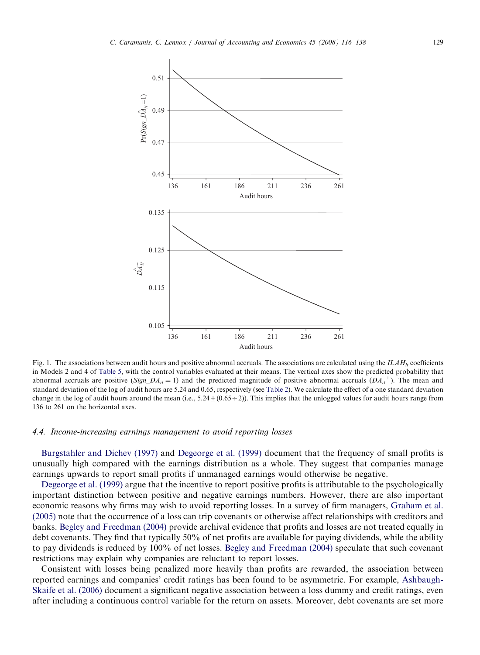<span id="page-13-0"></span>

Fig. 1. The associations between audit hours and positive abnormal accruals. The associations are calculated using the  $ILAH_{ii}$  coefficients in Models 2 and 4 of [Table 5,](#page-12-0) with the control variables evaluated at their means. The vertical axes show the predicted probability that abnormal accruals are positive (Sign\_DA<sub>it</sub> = 1) and the predicted magnitude of positive abnormal accruals (DA<sub>it</sub><sup>+</sup>). The mean and standard deviation of the log of audit hours are 5.24 and 0.65, respectively (see [Table 2\)](#page-8-0). We calculate the effect of a one standard deviation change in the log of audit hours around the mean (i.e.,  $5.24 \pm (0.65 \div 2)$ ). This implies that the unlogged values for audit hours range from 136 to 261 on the horizontal axes.

#### 4.4. Income-increasing earnings management to avoid reporting losses

[Burgstahler and Dichev \(1997\)](#page-21-0) and [Degeorge et al. \(1999\)](#page-21-0) document that the frequency of small profits is unusually high compared with the earnings distribution as a whole. They suggest that companies manage earnings upwards to report small profits if unmanaged earnings would otherwise be negative.

[Degeorge et al. \(1999\)](#page-21-0) argue that the incentive to report positive profits is attributable to the psychologically important distinction between positive and negative earnings numbers. However, there are also important economic reasons why firms may wish to avoid reporting losses. In a survey of firm managers, [Graham et al.](#page-21-0) [\(2005\)](#page-21-0) note that the occurrence of a loss can trip covenants or otherwise affect relationships with creditors and banks. [Begley and Freedman \(2004\)](#page-21-0) provide archival evidence that profits and losses are not treated equally in debt covenants. They find that typically 50% of net profits are available for paying dividends, while the ability to pay dividends is reduced by 100% of net losses. [Begley and Freedman \(2004\)](#page-21-0) speculate that such covenant restrictions may explain why companies are reluctant to report losses.

Consistent with losses being penalized more heavily than profits are rewarded, the association between reported earnings and companies' credit ratings has been found to be asymmetric. For example, [Ashbaugh-](#page-21-0)[Skaife et al. \(2006\)](#page-21-0) document a significant negative association between a loss dummy and credit ratings, even after including a continuous control variable for the return on assets. Moreover, debt covenants are set more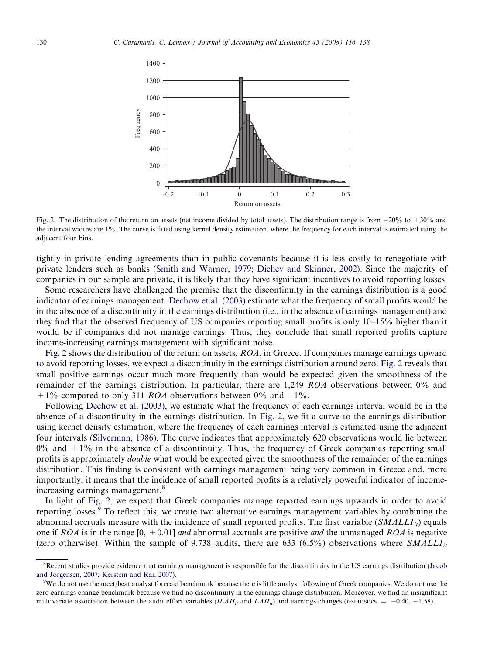<span id="page-14-0"></span>

Fig. 2. The distribution of the return on assets (net income divided by total assets). The distribution range is from  $-20\%$  to  $+30\%$  and the interval widths are 1%. The curve is fitted using kernel density estimation, where the frequency for each interval is estimated using the adjacent four bins.

tightly in private lending agreements than in public covenants because it is less costly to renegotiate with private lenders such as banks [\(Smith and Warner, 1979](#page-22-0); [Dichev and Skinner, 2002](#page-21-0)). Since the majority of companies in our sample are private, it is likely that they have significant incentives to avoid reporting losses.

Some researchers have challenged the premise that the discontinuity in the earnings distribution is a good indicator of earnings management. [Dechow et al. \(2003\)](#page-21-0) estimate what the frequency of small profits would be in the absence of a discontinuity in the earnings distribution (i.e., in the absence of earnings management) and they find that the observed frequency of US companies reporting small profits is only 10–15% higher than it would be if companies did not manage earnings. Thus, they conclude that small reported profits capture income-increasing earnings management with significant noise.

Fig. 2 shows the distribution of the return on assets, ROA, in Greece. If companies manage earnings upward to avoid reporting losses, we expect a discontinuity in the earnings distribution around zero. Fig. 2 reveals that small positive earnings occur much more frequently than would be expected given the smoothness of the remainder of the earnings distribution. In particular, there are 1,249 ROA observations between 0% and  $+1\%$  compared to only 311 *ROA* observations between 0% and  $-1\%$ .

Following [Dechow et al. \(2003\)](#page-21-0), we estimate what the frequency of each earnings interval would be in the absence of a discontinuity in the earnings distribution. In Fig. 2, we fit a curve to the earnings distribution using kernel density estimation, where the frequency of each earnings interval is estimated using the adjacent four intervals [\(Silverman, 1986](#page-22-0)). The curve indicates that approximately 620 observations would lie between  $0\%$  and  $+1\%$  in the absence of a discontinuity. Thus, the frequency of Greek companies reporting small profits is approximately *double* what would be expected given the smoothness of the remainder of the earnings distribution. This finding is consistent with earnings management being very common in Greece and, more importantly, it means that the incidence of small reported profits is a relatively powerful indicator of incomeincreasing earnings management.<sup>8</sup>

In light of Fig. 2, we expect that Greek companies manage reported earnings upwards in order to avoid reporting losses.<sup>9</sup> To reflect this, we create two alternative earnings management variables by combining the abnormal accruals measure with the incidence of small reported profits. The first variable  $(SMALL_{ii})$  equals one if  $ROA$  is in the range  $[0, +0.01]$  and abnormal accruals are positive and the unmanaged ROA is negative (zero otherwise). Within the sample of 9,738 audits, there are 633 (6.5%) observations where  $SMLLI_{it}$ 

<sup>&</sup>lt;sup>8</sup>Recent studies provide evidence that earnings management is responsible for the discontinuity in the US earnings distribution ([Jacob](#page-22-0) [and Jorgensen, 2007;](#page-22-0) [Kerstein and Rai, 2007\)](#page-22-0).

 $9W$ e do not use the meet/beat analyst forecast benchmark because there is little analyst following of Greek companies. We do not use the zero earnings change benchmark because we find no discontinuity in the earnings change distribution. Moreover, we find an insignificant multivariate association between the audit effort variables (*ILAH<sub>it</sub>* and *LAH<sub>it</sub>*) and earnings changes (*t*-statistics = -0.40, -1.58).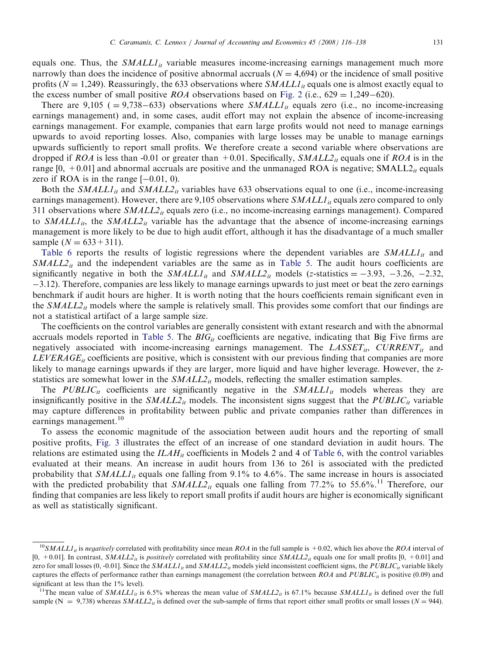equals one. Thus, the  $SMLLI_{it}$  variable measures income-increasing earnings management much more narrowly than does the incidence of positive abnormal accruals  $(N = 4,694)$  or the incidence of small positive profits ( $N = 1,249$ ). Reassuringly, the 633 observations where  $SMLLI_{it}$  equals one is almost exactly equal to the excess number of small positive *ROA* observations based on [Fig. 2](#page-14-0) (i.e.,  $629 = 1,249-620$ ).

There are 9,105 (= 9,738–633) observations where  $SMLLI_{it}$  equals zero (i.e., no income-increasing earnings management) and, in some cases, audit effort may not explain the absence of income-increasing earnings management. For example, companies that earn large profits would not need to manage earnings upwards to avoid reporting losses. Also, companies with large losses may be unable to manage earnings upwards sufficiently to report small profits. We therefore create a second variable where observations are dropped if ROA is less than -0.01 or greater than +0.01. Specifically,  $SMALL2<sub>it</sub>$  equals one if ROA is in the range  $[0, +0.01]$  and abnormal accruals are positive and the unmanaged ROA is negative; SMALL2<sub>it</sub> equals zero if ROA is in the range  $[-0.01, 0)$ .

Both the  $SMALL1_{it}$  and  $SMALL2_{it}$  variables have 633 observations equal to one (i.e., income-increasing earnings management). However, there are 9,105 observations where  $SMALL_{it}$  equals zero compared to only 311 observations where  $SMALL2_{it}$  equals zero (i.e., no income-increasing earnings management). Compared to  $SMLLI_{it}$ , the  $SMLL2_{it}$  variable has the advantage that the absence of income-increasing earnings management is more likely to be due to high audit effort, although it has the disadvantage of a much smaller sample  $(N = 633 + 311)$ .

[Table 6](#page-16-0) reports the results of logistic regressions where the dependent variables are  $SMLLI_{it}$  and  $SMAL2<sub>it</sub>$  and the independent variables are the same as in [Table 5.](#page-12-0) The audit hours coefficients are significantly negative in both the  $SMALL_{it}$  and  $SMALL_{it}$  models (z-statistics = -3.93, -3.26, -2.32, -3.12). Therefore, companies are less likely to manage earnings upwards to just meet or beat the zero earnings benchmark if audit hours are higher. It is worth noting that the hours coefficients remain significant even in the  $SMLL2_{it}$  models where the sample is relatively small. This provides some comfort that our findings are not a statistical artifact of a large sample size.

The coefficients on the control variables are generally consistent with extant research and with the abnormal accruals models reported in [Table 5](#page-12-0). The  $BIG_{it}$  coefficients are negative, indicating that Big Five firms are negatively associated with income-increasing earnings management. The  $LASSET_{ii}$ ,  $CURRENT_{it}$  and  $LEVERAGE_{it}$  coefficients are positive, which is consistent with our previous finding that companies are more likely to manage earnings upwards if they are larger, more liquid and have higher leverage. However, the zstatistics are somewhat lower in the  $SMALL2_{it}$  models, reflecting the smaller estimation samples.

The PUBLIC<sub>it</sub> coefficients are significantly negative in the  $SMLLI_{it}$  models whereas they are insignificantly positive in the  $SMALL2_{it}$  models. The inconsistent signs suggest that the PUBLIC<sub>it</sub> variable may capture differences in profitability between public and private companies rather than differences in earnings management.<sup>10</sup>

To assess the economic magnitude of the association between audit hours and the reporting of small positive profits, [Fig. 3](#page-17-0) illustrates the effect of an increase of one standard deviation in audit hours. The relations are estimated using the  $ILAH_{it}$  coefficients in Models 2 and 4 of [Table 6,](#page-16-0) with the control variables evaluated at their means. An increase in audit hours from 136 to 261 is associated with the predicted probability that  $SMLLI_{it}$  equals one falling from 9.1% to 4.6%. The same increase in hours is associated with the predicted probability that  $SMALL2_{it}$  equals one falling from 77.2% to 55.6%.<sup>11</sup> Therefore, our finding that companies are less likely to report small profits if audit hours are higher is economically significant as well as statistically significant.

<sup>&</sup>lt;sup>10</sup>SMALL1<sub>it</sub> is negatively correlated with profitability since mean ROA in the full sample is +0.02, which lies above the ROA interval of [0, +0.01]. In contrast, SMALL2<sub>it</sub> is positively correlated with profitability since SMALL2<sub>it</sub> equals one for small profits [0, +0.01] and zero for small losses (0, -0.01]. Since the  $SMALL_{ii}$  and  $SMALL_{ii}$  models yield inconsistent coefficient signs, the  $PUBLIC_{ii}$  variable likely captures the effects of performance rather than earnings management (the correlation between  $ROA$  and  $PUBLIC_{it}$  is positive (0.09) and significant at less than the 1% level).

<sup>&</sup>lt;sup>11</sup>The mean value of SMALL1<sub>it</sub> is 6.5% whereas the mean value of SMALL2<sub>it</sub> is 67.1% because SMALL1<sub>it</sub> is defined over the full sample (N = 9,738) whereas  $SMALL_{ii}$  is defined over the sub-sample of firms that report either small profits or small losses (N = 944).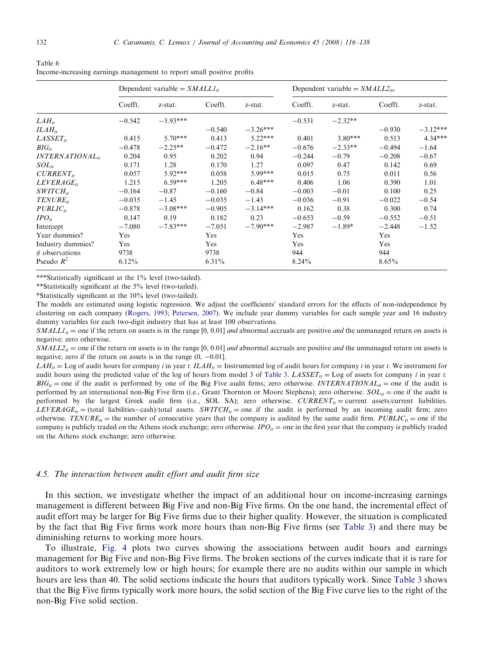|                                    |          | Dependent variable = $SMALLI_{ii}$ |            |            | Dependent variable = $SMALL2_{irr}$ |           |          |            |  |
|------------------------------------|----------|------------------------------------|------------|------------|-------------------------------------|-----------|----------|------------|--|
|                                    | Coefft.  | z-stat.                            | Coefft.    | z-stat.    | Coefft.                             | z-stat.   | Coefft.  | z-stat.    |  |
| $LAH_{it}$                         | $-0.542$ | $-3.93***$                         |            |            | $-0.531$                            | $-2.32**$ |          |            |  |
| $ILAH_{it}$                        |          |                                    | $-0.540$   | $-3.26***$ |                                     |           | $-0.930$ | $-3.12***$ |  |
| $LASSET_{it}$                      | 0.415    | $5.70***$                          | 0.413      | $5.22***$  | 0.401                               | $3.80***$ | 0.513    | $4.34***$  |  |
| $BIG_{ir}$                         | $-0.478$ | $-2.25**$                          | $-0.472$   | $-2.16**$  | $-0.676$                            | $-2.33**$ | $-0.494$ | $-1.64$    |  |
| <b>INTERNATIONAL</b> <sub>it</sub> | 0.204    | 0.95                               | 0.202      | 0.94       | $-0.244$                            | $-0.79$   | $-0.208$ | $-0.67$    |  |
| $SOL_{ir}$                         | 0.171    | 1.28                               | 0.170      | 1.27       | 0.097                               | 0.47      | 0.142    | 0.69       |  |
| $CURRENT_{it}$                     | 0.057    | $5.92***$                          | 0.058      | $5.99***$  | 0.015                               | 0.75      | 0.011    | 0.56       |  |
| $LEVERAGE_{ir}$                    | 1.215    | $6.59***$                          | 1.205      | $6.48***$  | 0.406                               | 1.06      | 0.390    | 1.01       |  |
| $SWITCH_{ir}$                      | $-0.164$ | $-0.87$                            | $-0.160$   | $-0.84$    | $-0.003$                            | $-0.01$   | 0.100    | 0.25       |  |
| $TENURE_{ir}$                      | $-0.035$ | $-1.45$                            | $-0.035$   | $-1.43$    | $-0.036$                            | $-0.91$   | $-0.022$ | $-0.54$    |  |
| $PUBLIC_{ir}$                      | $-0.878$ | $-3.08***$                         | $-0.905$   | $-3.14***$ | 0.162                               | 0.38      | 0.300    | 0.74       |  |
| $IPO_{it}$                         | 0.147    | 0.19                               | 0.182      | 0.23       | $-0.653$                            | $-0.59$   | $-0.552$ | $-0.51$    |  |
| Intercept                          | $-7.080$ | $-7.83***$                         | $-7.051$   | $-7.90***$ | $-2.987$                            | $-1.89*$  | $-2.448$ | $-1.52$    |  |
| Year dummies?                      | Yes      |                                    | Yes        |            | Yes                                 |           | Yes      |            |  |
| Industry dummies?                  | Yes      |                                    | <b>Yes</b> |            | Yes                                 |           | Yes      |            |  |
| $\#$ observations                  | 9738     |                                    | 9738       |            | 944                                 |           | 944      |            |  |
| Pseudo $R^2$                       | $6.12\%$ |                                    | $6.31\%$   |            | $8.24\%$                            |           | $8.65\%$ |            |  |

<span id="page-16-0"></span>Table 6 Income-increasing earnings management to report small positive profits

\*\*\*Statistically significant at the 1% level (two-tailed).

\*\*Statistically significant at the 5% level (two-tailed).

\*Statistically significant at the 10% level (two-tailed).

The models are estimated using logistic regression. We adjust the coefficients' standard errors for the effects of non-independence by clustering on each company ([Rogers, 1993](#page-22-0); [Petersen, 2007](#page-22-0)). We include year dummy variables for each sample year and 16 industry dummy variables for each two-digit industry that has at least 100 observations.

 $SMLLI_{ii}$  = one if the return on assets is in the range [0, 0.01] and abnormal accruals are positive and the unmanaged return on assets is negative; zero otherwise.

 $SMLL2<sub>ij</sub>$  = one if the return on assets is in the range [0, 0.01] and abnormal accruals are positive and the unmanaged return on assets is negative; zero if the return on assets is in the range  $(0, -0.01]$ .

 $LAH_{ii}$  = Log of audit hours for company i in year t.  $LLAH_{ii}$  = Instrumented log of audit hours for company i in year t. We instrument for audit hours using the predicted value of the log of hours from model 3 of [Table 3.](#page-9-0)  $LASSET_{it} =$  Log of assets for company *i* in year *t*.  $BIG_{it}$  = one if the audit is performed by one of the Big Five audit firms; zero otherwise. INTERNATIONAL<sub>it</sub> = one if the audit is performed by an international non-Big Five firm (i.e., Grant Thornton or Moore Stephens); zero otherwise.  $SOL_{ii}$  = one if the audit is performed by the largest Greek audit firm (i.e., SOL SA); zero otherwise. CURRENT<sub>it</sub> = current assets/current liabilities.  $LEVERAGE_{ii}$  = (total liabilities-cash)/total assets.  $SWITCH_{ii}$  = one if the audit is performed by an incoming audit firm; zero otherwise. TENURE<sub>it</sub> = the number of consecutive years that the company is audited by the same audit firm. PUBLIC<sub>it</sub> = one if the company is publicly traded on the Athens stock exchange; zero otherwise.  $IPO_{ii} =$  one in the first year that the company is publicly traded on the Athens stock exchange; zero otherwise.

## 4.5. The interaction between audit effort and audit firm size

In this section, we investigate whether the impact of an additional hour on income-increasing earnings management is different between Big Five and non-Big Five firms. On the one hand, the incremental effect of audit effort may be larger for Big Five firms due to their higher quality. However, the situation is complicated by the fact that Big Five firms work more hours than non-Big Five firms (see [Table 3\)](#page-9-0) and there may be diminishing returns to working more hours.

To illustrate, [Fig. 4](#page-17-0) plots two curves showing the associations between audit hours and earnings management for Big Five and non-Big Five firms. The broken sections of the curves indicate that it is rare for auditors to work extremely low or high hours; for example there are no audits within our sample in which hours are less than 40. The solid sections indicate the hours that auditors typically work. Since [Table 3](#page-9-0) shows that the Big Five firms typically work more hours, the solid section of the Big Five curve lies to the right of the non-Big Five solid section.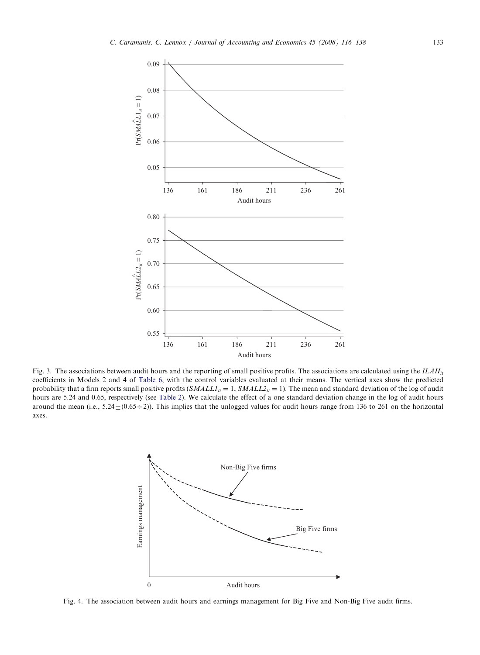<span id="page-17-0"></span>

Fig. 3. The associations between audit hours and the reporting of small positive profits. The associations are calculated using the  $ILAH_{li}$ coefficients in Models 2 and 4 of [Table 6,](#page-16-0) with the control variables evaluated at their means. The vertical axes show the predicted probability that a firm reports small positive profits  $(SMALL1<sub>it</sub> = 1, SMALL2<sub>it</sub> = 1)$ . The mean and standard deviation of the log of audit hours are 5.24 and 0.65, respectively (see [Table 2](#page-8-0)). We calculate the effect of a one standard deviation change in the log of audit hours around the mean (i.e.,  $5.24 \pm (0.65 \div 2)$ ). This implies that the unlogged values for audit hours range from 136 to 261 on the horizontal axes.



Fig. 4. The association between audit hours and earnings management for Big Five and Non-Big Five audit firms.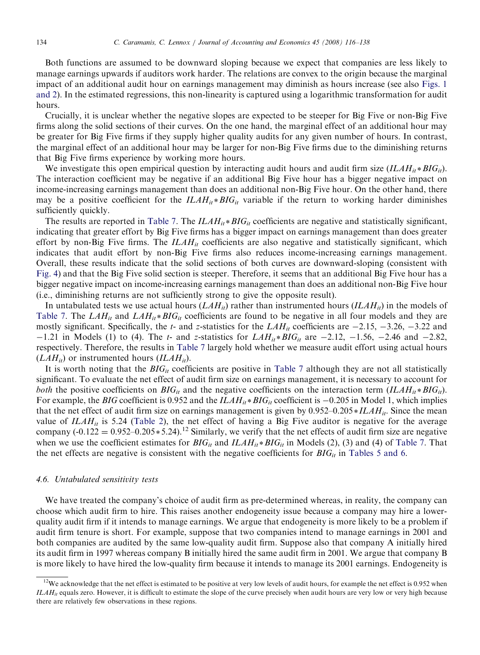Both functions are assumed to be downward sloping because we expect that companies are less likely to manage earnings upwards if auditors work harder. The relations are convex to the origin because the marginal impact of an additional audit hour on earnings management may diminish as hours increase (see also [Figs. 1](#page-13-0) [and 2\)](#page-13-0). In the estimated regressions, this non-linearity is captured using a logarithmic transformation for audit hours.

Crucially, it is unclear whether the negative slopes are expected to be steeper for Big Five or non-Big Five firms along the solid sections of their curves. On the one hand, the marginal effect of an additional hour may be greater for Big Five firms if they supply higher quality audits for any given number of hours. In contrast, the marginal effect of an additional hour may be larger for non-Big Five firms due to the diminishing returns that Big Five firms experience by working more hours.

We investigate this open empirical question by interacting audit hours and audit firm size  $(ILAH_{i*} * BIG_{i}$ . The interaction coefficient may be negative if an additional Big Five hour has a bigger negative impact on income-increasing earnings management than does an additional non-Big Five hour. On the other hand, there may be a positive coefficient for the  $ILAH_{it}*BIG_{it}$  variable if the return to working harder diminishes sufficiently quickly.

The results are reported in [Table 7.](#page-19-0) The  $ILAH_{ii}*BIG_{ii}$  coefficients are negative and statistically significant, indicating that greater effort by Big Five firms has a bigger impact on earnings management than does greater effort by non-Big Five firms. The  $ILAH_{it}$  coefficients are also negative and statistically significant, which indicates that audit effort by non-Big Five firms also reduces income-increasing earnings management. Overall, these results indicate that the solid sections of both curves are downward-sloping (consistent with [Fig. 4\)](#page-17-0) and that the Big Five solid section is steeper. Therefore, it seems that an additional Big Five hour has a bigger negative impact on income-increasing earnings management than does an additional non-Big Five hour (i.e., diminishing returns are not sufficiently strong to give the opposite result).

In untabulated tests we use actual hours  $(LAH_{ii})$  rather than instrumented hours  $(ILAH_{ii})$  in the models of [Table 7.](#page-19-0) The  $LAH_{it}$  and  $LAH_{it}*BIG_{it}$  coefficients are found to be negative in all four models and they are mostly significant. Specifically, the *t*- and *z*-statistics for the  $LAH_{it}$  coefficients are  $-2.15$ ,  $-3.26$ ,  $-3.22$  and  $-1.21$  in Models (1) to (4). The *t*- and *z*-statistics for  $LAH_{it}*BIG_{it}$  are  $-2.12$ ,  $-1.56$ ,  $-2.46$  and  $-2.82$ , respectively. Therefore, the results in [Table 7](#page-19-0) largely hold whether we measure audit effort using actual hours  $(LAH_{it})$  or instrumented hours  $(ILAH_{it})$ .

It is worth noting that the  $BIG_{it}$  coefficients are positive in [Table 7](#page-19-0) although they are not all statistically significant. To evaluate the net effect of audit firm size on earnings management, it is necessary to account for both the positive coefficients on  $BIG_{it}$  and the negative coefficients on the interaction term  $(ILAH_{it}*BIG_{it})$ . For example, the *BIG* coefficient is 0.952 and the  $ILAH_{it} * BIG_{it}$  coefficient is  $-0.205$  in Model 1, which implies that the net effect of audit firm size on earnings management is given by  $0.952-0.205*ILAH_{ii}$ . Since the mean value of  $ILAH_{ii}$  is 5.24 ([Table 2](#page-8-0)), the net effect of having a Big Five auditor is negative for the average company (-0.122 = 0.952–0.205  $\ast$  5.24).<sup>12</sup> Similarly, we verify that the net effects of audit firm size are negative when we use the coefficient estimates for  $BIG_{it}$  and  $ILAH_{it}*BIG_{it}$  in Models (2), (3) and (4) of [Table 7](#page-19-0). That the net effects are negative is consistent with the negative coefficients for  $BIG_{ii}$  in [Tables 5 and 6.](#page-12-0)

# 4.6. Untabulated sensitivity tests

We have treated the company's choice of audit firm as pre-determined whereas, in reality, the company can choose which audit firm to hire. This raises another endogeneity issue because a company may hire a lowerquality audit firm if it intends to manage earnings. We argue that endogeneity is more likely to be a problem if audit firm tenure is short. For example, suppose that two companies intend to manage earnings in 2001 and both companies are audited by the same low-quality audit firm. Suppose also that company A initially hired its audit firm in 1997 whereas company B initially hired the same audit firm in 2001. We argue that company B is more likely to have hired the low-quality firm because it intends to manage its 2001 earnings. Endogeneity is

<sup>&</sup>lt;sup>12</sup>We acknowledge that the net effect is estimated to be positive at very low levels of audit hours, for example the net effect is 0.952 when  $ILAH_{ii}$  equals zero. However, it is difficult to estimate the slope of the curve precisely when audit hours are very low or very high because there are relatively few observations in these regions.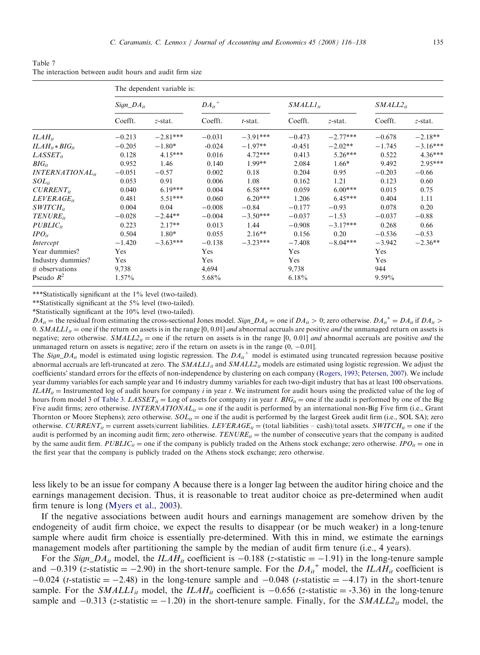<span id="page-19-0"></span>Table 7 The interaction between audit hours and audit firm size

|                                    | The dependent variable is: |            |                        |            |              |            |          |               |  |  |  |
|------------------------------------|----------------------------|------------|------------------------|------------|--------------|------------|----------|---------------|--|--|--|
|                                    | $Sign\_DA_{it}$            |            | $DA_{it}$ <sup>+</sup> |            | $SMLLI_{it}$ |            |          | $SMALL2_{it}$ |  |  |  |
|                                    | Coefft.                    | z-stat.    | Coefft.                | $t$ -stat. | Coefft.      | z-stat.    | Coefft.  | z-stat.       |  |  |  |
| $ILAH_{it}$                        | $-0.213$                   | $-2.81***$ | $-0.031$               | $-3.91***$ | $-0.473$     | $-2.77***$ | $-0.678$ | $-2.18**$     |  |  |  |
| $ILAH_{it}*BIG_{it}$               | $-0.205$                   | $-1.80*$   | $-0.024$               | $-1.97**$  | $-0.451$     | $-2.02**$  | $-1.745$ | $-3.16***$    |  |  |  |
| $LASSET_{it}$                      | 0.128                      | $4.15***$  | 0.016                  | $4.72***$  | 0.413        | $5.26***$  | 0.522    | $4.36***$     |  |  |  |
| $BIG_{it}$                         | 0.952                      | 1.46       | 0.140                  | 1.99**     | 2.084        | $1.66*$    | 9.492    | $2.95***$     |  |  |  |
| <b>INTERNATIONAL</b> <sub>it</sub> | $-0.051$                   | $-0.57$    | 0.002                  | 0.18       | 0.204        | 0.95       | $-0.203$ | $-0.66$       |  |  |  |
| $SOL_{it}$                         | 0.053                      | 0.91       | 0.006                  | 1.08       | 0.162        | 1.21       | 0.123    | 0.60          |  |  |  |
| $CURRENT_{it}$                     | 0.040                      | $6.19***$  | 0.004                  | $6.58***$  | 0.059        | $6.00***$  | 0.015    | 0.75          |  |  |  |
| $LEVERAGE_{ir}$                    | 0.481                      | $5.51***$  | 0.060                  | $6.20***$  | 1.206        | $6.45***$  | 0.404    | 1.11          |  |  |  |
| $SWITCH_{ir}$                      | 0.004                      | 0.04       | $-0.008$               | $-0.84$    | $-0.177$     | $-0.93$    | 0.078    | 0.20          |  |  |  |
| $TENURE_{it}$                      | $-0.028$                   | $-2.44**$  | $-0.004$               | $-3.50***$ | $-0.037$     | $-1.53$    | $-0.037$ | $-0.88$       |  |  |  |
| $PUBLIC_{ii}$                      | 0.223                      | $2.17**$   | 0.013                  | 1.44       | $-0.908$     | $-3.17***$ | 0.268    | 0.66          |  |  |  |
| $IPO_{it}$                         | 0.504                      | 1.80*      | 0.055                  | $2.16**$   | 0.156        | 0.20       | $-0.536$ | $-0.53$       |  |  |  |
| Intercept                          | $-1.420$                   | $-3.63***$ | $-0.138$               | $-3.23***$ | $-7.408$     | $-8.04***$ | $-3.942$ | $-2.36**$     |  |  |  |
| Year dummies?                      | Yes                        |            | Yes                    |            | Yes          |            | Yes      |               |  |  |  |
| Industry dummies?                  | Yes                        |            | Yes                    |            | Yes          |            | Yes      |               |  |  |  |
| $\#$ observations                  | 9,738                      |            | 4,694                  |            | 9,738        |            | 944      |               |  |  |  |
| Pseudo $R^2$                       | 1.57%                      |            | 5.68%                  |            | $6.18\%$     |            | $9.59\%$ |               |  |  |  |

\*\*\*Statistically significant at the 1% level (two-tailed).

\*\*Statistically significant at the 5% level (two-tailed).

\*Statistically significant at the 10% level (two-tailed).

 $DA_{ii}$  = the residual from estimating the cross-sectional Jones model. Sign\_DA<sub>it</sub> = one if DA<sub>it</sub> > 0; zero otherwise. DA<sub>it</sub> +  $= DA_{ii}$  if DA<sub>it</sub> > 0.  $SMALL_{ii}$  = one if the return on assets is in the range [0, 0.01] *and* abnormal accruals are positive *and* the unmanaged return on assets is negative; zero otherwise.  $SMALL_{it} =$  one if the return on assets is in the range [0, 0.01] and abnormal accruals are positive and the unmanaged return on assets is negative; zero if the return on assets is in the range  $(0, -0.01]$ .

The Sign\_DA<sub>it</sub> model is estimated using logistic regression. The DA<sub>it</sub><sup>+</sup> model is estimated using truncated regression because positive abnormal accruals are left-truncated at zero. The  $SMALL_{ii}$  and  $SMALL_{ii}$  models are estimated using logistic regression. We adjust the coefficients' standard errors for the effects of non-independence by clustering on each company ([Rogers, 1993](#page-22-0); [Petersen, 2007\)](#page-22-0). We include year dummy variables for each sample year and 16 industry dummy variables for each two-digit industry that has at least 100 observations.  $ILAH_{ii}$  = Instrumented log of audit hours for company i in year t. We instrument for audit hours using the predicted value of the log of hours from model 3 of [Table 3.](#page-9-0) LASSET<sub>it</sub> = Log of assets for company i in year t. BIG<sub>it</sub> = one if the audit is performed by one of the Big Five audit firms; zero otherwise. INTERNATIONAL<sub>it</sub> = one if the audit is performed by an international non-Big Five firm (i.e., Grant Thornton or Moore Stephens); zero otherwise.  $SOL_{ii} =$  one if the audit is performed by the largest Greek audit firm (i.e., SOL SA); zero otherwise. CURRENT<sub>it</sub> = current assets/current liabilities. LEVERAGE<sub>it</sub> = (total liabilities – cash)/total assets. SWITCH<sub>it</sub> = one if the audit is performed by an incoming audit firm; zero otherwise. TENURE $_{ii}$  = the number of consecutive years that the company is audited by the same audit firm. PUBLIC<sub>it</sub> = one if the company is publicly traded on the Athens stock exchange; zero otherwise. IPO<sub>it</sub> = one in the first year that the company is publicly traded on the Athens stock exchange; zero otherwise.

less likely to be an issue for company A because there is a longer lag between the auditor hiring choice and the earnings management decision. Thus, it is reasonable to treat auditor choice as pre-determined when audit firm tenure is long [\(Myers et al., 2003\)](#page-22-0).

If the negative associations between audit hours and earnings management are somehow driven by the endogeneity of audit firm choice, we expect the results to disappear (or be much weaker) in a long-tenure sample where audit firm choice is essentially pre-determined. With this in mind, we estimate the earnings management models after partitioning the sample by the median of audit firm tenure (i.e., 4 years).

For the Sign\_DA<sub>it</sub> model, the ILAH<sub>it</sub> coefficient is  $-0.188$  (z-statistic  $= -1.91$ ) in the long-tenure sample and  $-0.319$  (z-statistic = -2.90) in the short-tenure sample. For the  $DA_{it}^{+}$  model, the ILAH<sub>it</sub> coefficient is  $-0.024$  (*t*-statistic  $=-2.48$ ) in the long-tenure sample and  $-0.048$  (*t*-statistic  $=-4.17$ ) in the short-tenure sample. For the  $SMALLI_{it}$  model, the  $ILAH_{it}$  coefficient is  $-0.656$  (*z*-statistic = -3.36) in the long-tenure sample and  $-0.313$  (z-statistic  $= -1.20$ ) in the short-tenure sample. Finally, for the SMALL2<sub>it</sub> model, the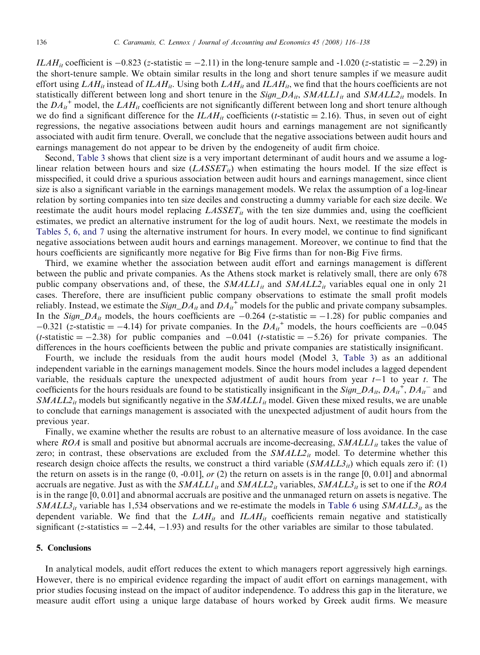*ILAH*<sub>it</sub> coefficient is  $-0.823$  (*z*-statistic =  $-2.11$ ) in the long-tenure sample and  $-1.020$  (*z*-statistic =  $-2.29$ ) in the short-tenure sample. We obtain similar results in the long and short tenure samples if we measure audit effort using  $LAH_{ii}$  instead of  $ILAH_{ii}$ . Using both  $LAH_{ii}$  and  $ILAH_{ii}$ , we find that the hours coefficients are not statistically different between long and short tenure in the  $Sign\_DA_{ii}$ ,  $SMALL1_{it}$  and  $SMALL2_{it}$  models. In the  $DA_{it}^+$  model, the  $LAH_{it}$  coefficients are not significantly different between long and short tenure although we do find a significant difference for the  $ILAH_{ii}$  coefficients (*t*-statistic = 2.16). Thus, in seven out of eight regressions, the negative associations between audit hours and earnings management are not significantly associated with audit firm tenure. Overall, we conclude that the negative associations between audit hours and earnings management do not appear to be driven by the endogeneity of audit firm choice.

Second, [Table 3](#page-9-0) shows that client size is a very important determinant of audit hours and we assume a loglinear relation between hours and size  $(LASSET_{ii})$  when estimating the hours model. If the size effect is misspecified, it could drive a spurious association between audit hours and earnings management, since client size is also a significant variable in the earnings management models. We relax the assumption of a log-linear relation by sorting companies into ten size deciles and constructing a dummy variable for each size decile. We reestimate the audit hours model replacing  $LASSET_{it}$  with the ten size dummies and, using the coefficient estimates, we predict an alternative instrument for the log of audit hours. Next, we reestimate the models in [Tables 5, 6, and 7](#page-12-0) using the alternative instrument for hours. In every model, we continue to find significant negative associations between audit hours and earnings management. Moreover, we continue to find that the hours coefficients are significantly more negative for Big Five firms than for non-Big Five firms.

Third, we examine whether the association between audit effort and earnings management is different between the public and private companies. As the Athens stock market is relatively small, there are only 678 public company observations and, of these, the  $SMALL_{ii}$  and  $SMALL_{ii}$  variables equal one in only 21 cases. Therefore, there are insufficient public company observations to estimate the small profit models reliably. Instead, we estimate the Sign\_D $A_{it}$  and  $DA_{it}^{+}$  models for the public and private company subsamples. In the Sign\_DA<sub>it</sub> models, the hours coefficients are  $-0.264$  (*z*-statistic =  $-1.28$ ) for public companies and  $-0.321$  (z-statistic = -4.14) for private companies. In the  $DA_{it}$ <sup>+</sup> models, the hours coefficients are -0.045 (*t*-statistic  $= -2.38$ ) for public companies and  $-0.041$  (*t*-statistic  $= -5.26$ ) for private companies. The differences in the hours coefficients between the public and private companies are statistically insignificant.

Fourth, we include the residuals from the audit hours model (Model 3, [Table 3\)](#page-9-0) as an additional independent variable in the earnings management models. Since the hours model includes a lagged dependent variable, the residuals capture the unexpected adjustment of audit hours from year  $t-1$  to year t. The coefficients for the hours residuals are found to be statistically insignificant in the  $Sign\_DA_{it}$ ,  $DA_{it}$ <sup>+</sup>,  $DA_{it}$ <sup>-</sup> and  $SMALL2<sub>it</sub>$  models but significantly negative in the  $SMALL1<sub>it</sub>$  model. Given these mixed results, we are unable to conclude that earnings management is associated with the unexpected adjustment of audit hours from the previous year.

Finally, we examine whether the results are robust to an alternative measure of loss avoidance. In the case where  $ROA$  is small and positive but abnormal accruals are income-decreasing,  $SMALLI_{it}$  takes the value of zero; in contrast, these observations are excluded from the  $SMALL2_{it}$  model. To determine whether this research design choice affects the results, we construct a third variable  $(SMAL3<sub>it</sub>)$  which equals zero if: (1) the return on assets is in the range  $(0, -0.01]$ , or  $(2)$  the return on assets is in the range  $[0, 0.01]$  and abnormal accruals are negative. Just as with the  $SMALL_{ii}$  and  $SMALL_{ii}$  variables,  $SMALL_{ii}$  is set to one if the ROA is in the range [0, 0.01] and abnormal accruals are positive and the unmanaged return on assets is negative. The SMALL3<sub>it</sub> variable has 1,534 observations and we re-estimate the models in [Table 6](#page-16-0) using SMALL3<sub>it</sub> as the dependent variable. We find that the  $LAH_{it}$  and  $ILAH_{it}$  coefficients remain negative and statistically significant (*z*-statistics  $= -2.44, -1.93$ ) and results for the other variables are similar to those tabulated.

#### 5. Conclusions

In analytical models, audit effort reduces the extent to which managers report aggressively high earnings. However, there is no empirical evidence regarding the impact of audit effort on earnings management, with prior studies focusing instead on the impact of auditor independence. To address this gap in the literature, we measure audit effort using a unique large database of hours worked by Greek audit firms. We measure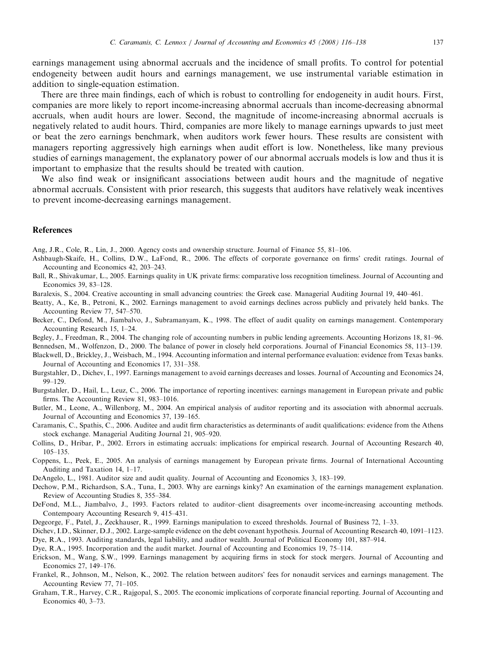<span id="page-21-0"></span>earnings management using abnormal accruals and the incidence of small profits. To control for potential endogeneity between audit hours and earnings management, we use instrumental variable estimation in addition to single-equation estimation.

There are three main findings, each of which is robust to controlling for endogeneity in audit hours. First, companies are more likely to report income-increasing abnormal accruals than income-decreasing abnormal accruals, when audit hours are lower. Second, the magnitude of income-increasing abnormal accruals is negatively related to audit hours. Third, companies are more likely to manage earnings upwards to just meet or beat the zero earnings benchmark, when auditors work fewer hours. These results are consistent with managers reporting aggressively high earnings when audit effort is low. Nonetheless, like many previous studies of earnings management, the explanatory power of our abnormal accruals models is low and thus it is important to emphasize that the results should be treated with caution.

We also find weak or insignificant associations between audit hours and the magnitude of negative abnormal accruals. Consistent with prior research, this suggests that auditors have relatively weak incentives to prevent income-decreasing earnings management.

# References

Ang, J.R., Cole, R., Lin, J., 2000. Agency costs and ownership structure. Journal of Finance 55, 81–106.

- Ashbaugh-Skaife, H., Collins, D.W., LaFond, R., 2006. The effects of corporate governance on firms' credit ratings. Journal of Accounting and Economics 42, 203–243.
- Ball, R., Shivakumar, L., 2005. Earnings quality in UK private firms: comparative loss recognition timeliness. Journal of Accounting and Economics 39, 83–128.
- Baralexis, S., 2004. Creative accounting in small advancing countries: the Greek case. Managerial Auditing Journal 19, 440–461.
- Beatty, A., Ke, B., Petroni, K., 2002. Earnings management to avoid earnings declines across publicly and privately held banks. The Accounting Review 77, 547–570.
- Becker, C., Defond, M., Jiambalvo, J., Subramanyam, K., 1998. The effect of audit quality on earnings management. Contemporary Accounting Research 15, 1–24.

Begley, J., Freedman, R., 2004. The changing role of accounting numbers in public lending agreements. Accounting Horizons 18, 81–96.

- Bennedsen, M., Wolfenzon, D., 2000. The balance of power in closely held corporations. Journal of Financial Economics 58, 113–139. Blackwell, D., Brickley, J., Weisbach, M., 1994. Accounting information and internal performance evaluation: evidence from Texas banks. Journal of Accounting and Economics 17, 331–358.
- Burgstahler, D., Dichev, I., 1997. Earnings management to avoid earnings decreases and losses. Journal of Accounting and Economics 24, 99–129.
- Burgstahler, D., Hail, L., Leuz, C., 2006. The importance of reporting incentives: earnings management in European private and public firms. The Accounting Review 81, 983–1016.
- Butler, M., Leone, A., Willenborg, M., 2004. An empirical analysis of auditor reporting and its association with abnormal accruals. Journal of Accounting and Economics 37, 139–165.
- Caramanis, C., Spathis, C., 2006. Auditee and audit firm characteristics as determinants of audit qualifications: evidence from the Athens stock exchange. Managerial Auditing Journal 21, 905–920.
- Collins, D., Hribar, P., 2002. Errors in estimating accruals: implications for empirical research. Journal of Accounting Research 40, 105–135.
- Coppens, L., Peek, E., 2005. An analysis of earnings management by European private firms. Journal of International Accounting Auditing and Taxation 14, 1–17.
- DeAngelo, L., 1981. Auditor size and audit quality. Journal of Accounting and Economics 3, 183–199.
- Dechow, P.M., Richardson, S.A., Tuna, I., 2003. Why are earnings kinky? An examination of the earnings management explanation. Review of Accounting Studies 8, 355–384.
- DeFond, M.L., Jiambalvo, J., 1993. Factors related to auditor–client disagreements over income-increasing accounting methods. Contempoary Accounting Research 9, 415–431.
- Degeorge, F., Patel, J., Zeckhauser, R., 1999. Earnings manipulation to exceed thresholds. Journal of Business 72, 1–33.
- Dichev, I.D., Skinner, D.J., 2002. Large-sample evidence on the debt covenant hypothesis. Journal of Accounting Research 40, 1091–1123.
- Dye, R.A., 1993. Auditing standards, legal liability, and auditor wealth. Journal of Political Economy 101, 887–914.

Dye, R.A., 1995. Incorporation and the audit market. Journal of Accounting and Economics 19, 75–114.

- Erickson, M., Wang, S.W., 1999. Earnings management by acquiring firms in stock for stock mergers. Journal of Accounting and Economics 27, 149–176.
- Frankel, R., Johnson, M., Nelson, K., 2002. The relation between auditors' fees for nonaudit services and earnings management. The Accounting Review 77, 71–105.
- Graham, T.R., Harvey, C.R., Rajgopal, S., 2005. The economic implications of corporate financial reporting. Journal of Accounting and Economics 40, 3–73.